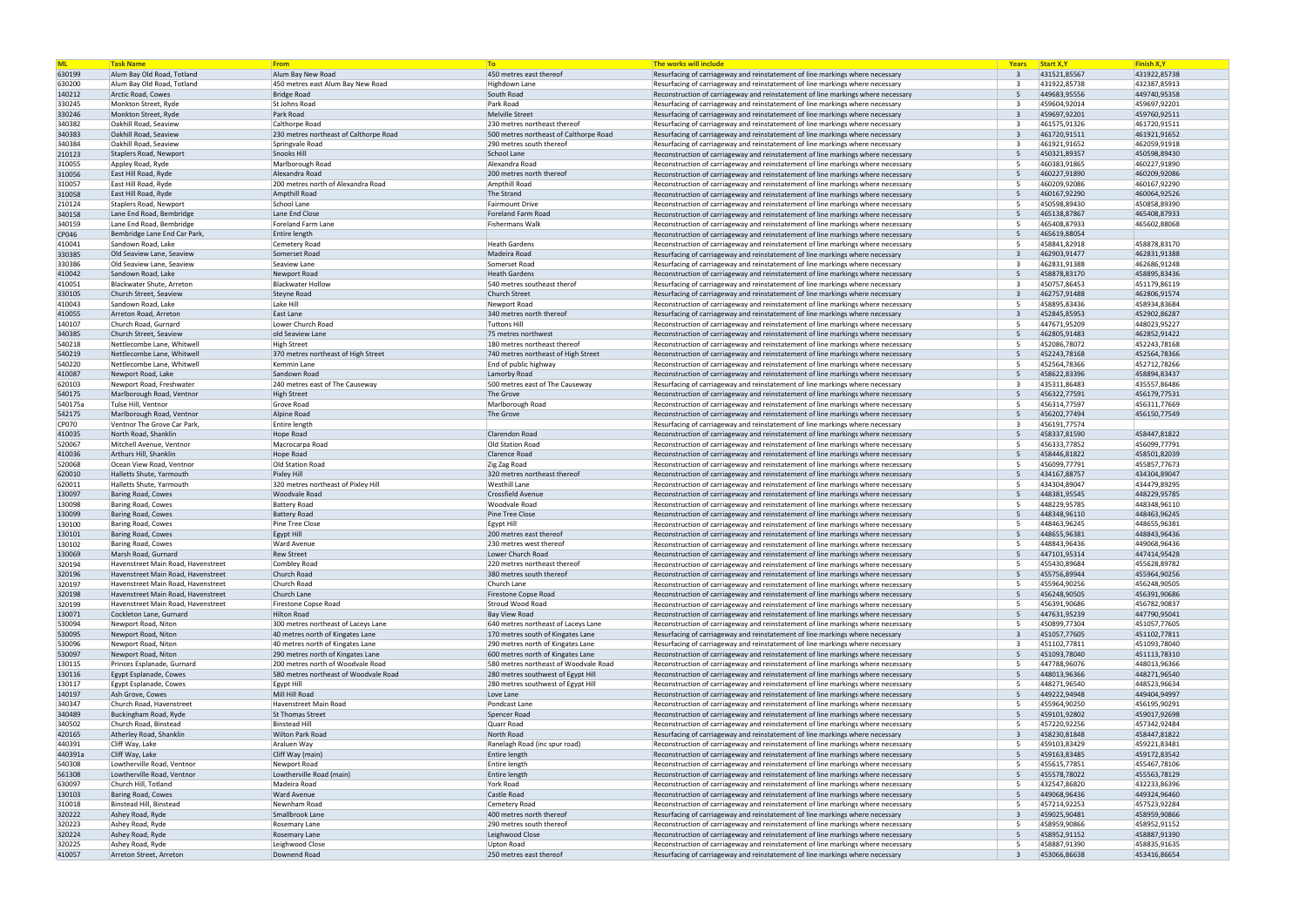| <b>ML</b>        | <b>Task Name</b>                                                         | <b>From</b>                                     | T <sub>o</sub>                          | The works will include                                                                                                                                               | Years                | <b>Start X, Y</b>            | <b>Finish X,Y</b>            |
|------------------|--------------------------------------------------------------------------|-------------------------------------------------|-----------------------------------------|----------------------------------------------------------------------------------------------------------------------------------------------------------------------|----------------------|------------------------------|------------------------------|
| 630199           | Alum Bay Old Road, Totland                                               | Alum Bay New Road                               | 450 metres east thereof                 | Resurfacing of carriageway and reinstatement of line markings where necessary                                                                                        |                      | 431521,85567                 | 431922,85738                 |
| 630200           | Alum Bay Old Road, Totland                                               | 450 metres east Alum Bay New Road               | Highdown Lane                           | Resurfacing of carriageway and reinstatement of line markings where necessary                                                                                        |                      | 431922,85738                 | 432387,85913                 |
| 140212           | Arctic Road, Cowes                                                       | <b>Bridge Road</b>                              | South Road                              | Reconstruction of carriageway and reinstatement of line markings where necessary                                                                                     | -5                   | 449683,95556                 | 449740,95358                 |
| 330245<br>330246 | Monkton Street, Ryde<br>Monkton Street, Ryde                             | St Johns Road<br>Park Road                      | Park Road<br>Melville Street            | Resurfacing of carriageway and reinstatement of line markings where necessary<br>Resurfacing of carriageway and reinstatement of line markings where necessary       | $\overline{3}$       | 459604,92014<br>459697,92201 | 459697,92201<br>459760,92511 |
| 340382           | Oakhill Road, Seaview                                                    | Calthorpe Road                                  | 230 metres northeast thereof            | Resurfacing of carriageway and reinstatement of line markings where necessary                                                                                        |                      | 461575,91326                 | 461720,91511                 |
| 340383           | Oakhill Road, Seaview                                                    | 230 metres northeast of Calthorpe Road          | 500 metres northeast of Calthorpe Road  | Resurfacing of carriageway and reinstatement of line markings where necessary                                                                                        | $\overline{3}$       | 461720,91511                 | 461921,91652                 |
| 340384           | Oakhill Road, Seaview                                                    | Springvale Road                                 | 290 metres south thereof                | Resurfacing of carriageway and reinstatement of line markings where necessary                                                                                        | -3                   | 461921,91652                 | 462059,91918                 |
| 210123           | Staplers Road, Newport                                                   | Snooks Hill                                     | School Lane                             | Reconstruction of carriageway and reinstatement of line markings where necessary                                                                                     | 5                    | 450321,89357                 | 450598,89430                 |
| 310055           | Appley Road, Ryde                                                        | Marlborough Road                                | Alexandra Road                          | Reconstruction of carriageway and reinstatement of line markings where necessary                                                                                     | -5                   | 460383,91865                 | 460227,91890                 |
| 310056           | East Hill Road, Ryde                                                     | Alexandra Road                                  | 200 metres north thereof                | Reconstruction of carriageway and reinstatement of line markings where necessary                                                                                     | 5                    | 460227,91890                 | 460209,92086                 |
| 310057           | East Hill Road, Ryde                                                     | 200 metres north of Alexandra Road              | Ampthill Road                           | Reconstruction of carriageway and reinstatement of line markings where necessary                                                                                     | -5                   | 460209,92086                 | 460167,92290                 |
| 310058           | East Hill Road, Ryde                                                     | Ampthill Road                                   | The Strand                              | Reconstruction of carriageway and reinstatement of line markings where necessary                                                                                     | 5                    | 460167,92290                 | 460064,92526                 |
| 210124           | Staplers Road, Newport                                                   | School Lane                                     | Fairmount Drive                         | Reconstruction of carriageway and reinstatement of line markings where necessary                                                                                     | -5                   | 450598,89430                 | 450858,89390                 |
| 340158           | Lane End Road, Bembridge                                                 | Lane End Close                                  | Foreland Farm Road                      | Reconstruction of carriageway and reinstatement of line markings where necessary                                                                                     | -5                   | 465138,87867                 | 465408,87933                 |
| 340159           | Lane End Road, Bembridge                                                 | Foreland Farm Lane                              | Fishermans Walk                         | Reconstruction of carriageway and reinstatement of line markings where necessary                                                                                     | -5                   | 465408,87933                 | 465602,88068                 |
| CP046            | Bembridge Lane End Car Park,                                             | Entire length                                   |                                         | Reconstruction of carriageway and reinstatement of line markings where necessary                                                                                     | -5                   | 465619,88054                 |                              |
| 410041           | Sandown Road, Lake                                                       | Cemetery Road                                   | Heath Gardens                           | Reconstruction of carriageway and reinstatement of line markings where necessary                                                                                     | -5<br>$\overline{3}$ | 458841,82918                 | 458878,83170                 |
| 330385<br>330386 | Old Seaview Lane, Seaview<br>Old Seaview Lane, Seaview                   | Somerset Road<br>Seaview Lane                   | Madeira Road<br>Somerset Road           | Resurfacing of carriageway and reinstatement of line markings where necessary<br>Resurfacing of carriageway and reinstatement of line markings where necessary       | $\mathbf{R}$         | 462903,91477<br>462831,91388 | 462831,91388<br>462686,91248 |
| 410042           | Sandown Road, Lake                                                       | Newport Road                                    | <b>Heath Gardens</b>                    | Reconstruction of carriageway and reinstatement of line markings where necessary                                                                                     | -5                   | 458878,83170                 | 458895,83436                 |
| 410051           | Blackwater Shute, Arreton                                                | <b>Blackwater Hollow</b>                        | 540 metres southeast therof             | Resurfacing of carriageway and reinstatement of line markings where necessary                                                                                        | $\mathbf{R}$         | 450757,86453                 | 451179,86119                 |
| 330105           | Church Street, Seaview                                                   | Steyne Road                                     | <b>Church Street</b>                    | Resurfacing of carriageway and reinstatement of line markings where necessary                                                                                        |                      | 462757,91488                 | 462806,91574                 |
| 410043           | Sandown Road, Lake                                                       | Lake Hill                                       | Newport Road                            | Reconstruction of carriageway and reinstatement of line markings where necessary                                                                                     | -5                   | 458895,83436                 | 458934,83684                 |
| 410055           | Arreton Road, Arreton                                                    | East Lane                                       | 340 metres north thereof                | Resurfacing of carriageway and reinstatement of line markings where necessary                                                                                        |                      | 452845,85953                 | 452902,86287                 |
| 140107           | Church Road, Gurnard                                                     | Lower Church Road                               | <b>Tuttons Hill</b>                     | Reconstruction of carriageway and reinstatement of line markings where necessary                                                                                     | -5                   | 447671,95209                 | 448023,95227                 |
| 340385           | Church Street. Seaview                                                   | old Seaview Lane                                | 75 metres northwest                     | Reconstruction of carriageway and reinstatement of line markings where necessary                                                                                     |                      | 462805,91483                 | 462852,91422                 |
| 540218           | Nettlecombe Lane, Whitwell                                               | High Street                                     | 180 metres northeast thereof            | Reconstruction of carriageway and reinstatement of line markings where necessary                                                                                     |                      | 452086,78072                 | 452243,78168                 |
| 540219           | Nettlecombe Lane, Whitwell                                               | 370 metres northeast of High Street             | 740 metres northeast of High Street     | Reconstruction of carriageway and reinstatement of line markings where necessary                                                                                     | -5                   | 452243,78168                 | 452564,78366                 |
| 540220           | Nettlecombe Lane, Whitwell                                               | Kemmin Lane                                     | End of public highway                   | Reconstruction of carriageway and reinstatement of line markings where necessary                                                                                     | -5                   | 452564,78366                 | 452712,78266                 |
| 410087           | Newport Road, Lake                                                       | Sandown Road                                    | Lamorby Road                            | Reconstruction of carriageway and reinstatement of line markings where necessary                                                                                     | -5                   | 458622,83396                 | 458894,83437                 |
| 620103           | Newport Road, Freshwater                                                 | 240 metres east of The Causeway                 | 500 metres east of The Causeway         | Resurfacing of carriageway and reinstatement of line markings where necessary                                                                                        |                      | 435311,86483                 | 435557,86486                 |
| 540175           | Marlborough Road, Ventnor                                                | <b>High Street</b>                              | The Grove                               | Reconstruction of carriageway and reinstatement of line markings where necessary                                                                                     | -5                   | 456322,77591                 | 456179,77531                 |
| 540175a          | Tulse Hill, Ventnor                                                      | Grove Road                                      | Marlborough Road                        | Reconstruction of carriageway and reinstatement of line markings where necessary                                                                                     | -5                   | 456314,77597                 | 456311,77669                 |
| 542175           | Marlborough Road, Ventnor                                                | Alpine Road                                     | The Grove                               | Reconstruction of carriageway and reinstatement of line markings where necessary                                                                                     | -5<br>$\mathbf{R}$   | 456202,77494                 | 456150,77549                 |
| CP070<br>410035  | Ventnor The Grove Car Park,<br>North Road, Shanklin                      | Entire length<br>Hope Road                      | Clarendon Road                          | Resurfacing of carriageway and reinstatement of line markings where necessary<br>Reconstruction of carriageway and reinstatement of line markings where necessary    | 5                    | 456191,77574<br>458337,81590 | 458447,81822                 |
| 520067           | Mitchell Avenue, Ventnor                                                 | Macrocarpa Road                                 | Old Station Road                        | Reconstruction of carriageway and reinstatement of line markings where necessary                                                                                     | -5                   | 456333,77852                 | 456099,77791                 |
| 410036           | Arthurs Hill, Shanklin                                                   | <b>Hope Road</b>                                | Clarence Road                           | Reconstruction of carriageway and reinstatement of line markings where necessary                                                                                     | -5                   | 458446,81822                 | 458501,82039                 |
| 520068           | Ocean View Road, Ventnor                                                 | <b>Old Station Road</b>                         | Zig Zag Road                            | Reconstruction of carriageway and reinstatement of line markings where necessary                                                                                     | -5                   | 456099,77791                 | 455857,77673                 |
| 620010           | Halletts Shute, Yarmouth                                                 | <b>Pixley Hill</b>                              | 320 metres northeast thereof            | Reconstruction of carriageway and reinstatement of line markings where necessary                                                                                     | 5                    | 434167,88757                 | 434304,89047                 |
| 620011           | Halletts Shute, Yarmouth                                                 | 320 metres northeast of Pixley Hill             | <b>Westhill Lane</b>                    | Reconstruction of carriageway and reinstatement of line markings where necessary                                                                                     | -5                   | 434304,89047                 | 434479,89295                 |
| 130097           | <b>Baring Road, Cowes</b>                                                | <b>Woodvale Road</b>                            | Crossfield Avenue                       | Reconstruction of carriageway and reinstatement of line markings where necessary                                                                                     | 5                    | 448381,95545                 | 448229,95785                 |
| 130098           | <b>Baring Road, Cowes</b>                                                | <b>Battery Road</b>                             | Woodvale Road                           | Reconstruction of carriageway and reinstatement of line markings where necessary                                                                                     | -5                   | 448229,95785                 | 448348,96110                 |
| 130099           | <b>Baring Road, Cowes</b>                                                | <b>Battery Road</b>                             | Pine Tree Close                         | Reconstruction of carriageway and reinstatement of line markings where necessary                                                                                     | 5                    | 448348,96110                 | 448463,96245                 |
| 130100           | <b>Baring Road, Cowes</b>                                                | Pine Tree Close                                 | <b>Egypt Hill</b>                       | Reconstruction of carriageway and reinstatement of line markings where necessary                                                                                     | -5                   | 448463,96245                 | 448655,96381                 |
| 130101           | Baring Road, Cowes                                                       | Egypt Hill                                      | 200 metres east thereof                 | Reconstruction of carriageway and reinstatement of line markings where necessary                                                                                     | -5                   | 448655,96381                 | 448843.96436                 |
| 130102           | <b>Baring Road, Cowes</b>                                                | <b>Ward Avenue</b>                              | 230 metres west thereof                 | Reconstruction of carriageway and reinstatement of line markings where necessary                                                                                     | -5                   | 448843,96436                 | 449068,96436                 |
| 130069           | Marsh Road, Gurnard                                                      | <b>Rew Street</b>                               | Lower Church Road                       | Reconstruction of carriageway and reinstatement of line markings where necessary                                                                                     |                      | 447101,95314                 | 447414,95428                 |
| 320194           | Havenstreet Main Road, Havenstreet                                       | Combley Road                                    | 220 metres northeast thereof            | Reconstruction of carriageway and reinstatement of line markings where necessary                                                                                     | -5<br>-5             | 455430,89684                 | 455628,89782                 |
| 320196           | Havenstreet Main Road, Havenstreet                                       | Church Road                                     | 380 metres south thereof<br>Church Lane | Reconstruction of carriageway and reinstatement of line markings where necessary                                                                                     | -5                   | 455756,89944                 | 455964,90256<br>456248,90505 |
| 320197<br>320198 | Havenstreet Main Road, Havenstreet<br>Havenstreet Main Road, Havenstreet | Church Road<br>Church Lane                      | Firestone Copse Road                    | Reconstruction of carriageway and reinstatement of line markings where necessary<br>Reconstruction of carriageway and reinstatement of line markings where necessary | -5                   | 455964,90256<br>456248,90505 | 456391,90686                 |
| 320199           | Havenstreet Main Road, Havenstreet                                       | Firestone Copse Road                            | Stroud Wood Road                        | Reconstruction of carriageway and reinstatement of line markings where necessary                                                                                     | -5                   | 456391,90686                 | 456782,90837                 |
| 130071           | Cockleton Lane, Gurnard                                                  | <b>Hilton Road</b>                              | <b>Bay View Road</b>                    | Reconstruction of carriageway and reinstatement of line markings where necessary                                                                                     | 5                    | 447631,95239                 | 447790,95041                 |
| 530094           | Newport Road, Niton                                                      | 300 metres northeast of Laceys Lane             | 640 metres northeast of Laceys Lane     | Reconstruction of carriageway and reinstatement of line markings where necessary                                                                                     | -5                   | 450899,77304                 | 451057,77605                 |
| 530095           | Newport Road, Niton                                                      | 40 metres north of Kingates Lane                | 170 metres south of Kingates Lane       | Resurfacing of carriageway and reinstatement of line markings where necessary                                                                                        | $\overline{3}$       | 451057,77605                 | 451102,77811                 |
| 530096           | Newport Road, Niton                                                      | 40 metres north of Kingates Lane                | 290 metres north of Kingates Lane       | Resurfacing of carriageway and reinstatement of line markings where necessary                                                                                        | -3                   | 451102,77811                 | 451093,78040                 |
| 530097           | Newport Road, Niton                                                      | 290 metres north of Kingates Lane               | 600 metres north of Kingates Lane       | Reconstruction of carriageway and reinstatement of line markings where necessary                                                                                     | 5                    | 451093,78040                 | 451113,78310                 |
| 130115           | Princes Esplanade, Gurnard                                               | 200 metres north of Woodvale Road               | 580 metres northeast of Woodvale Road   | Reconstruction of carriageway and reinstatement of line markings where necessary                                                                                     | -5                   | 447788,96076                 | 448013,96366                 |
| 130116           | Egypt Esplanade, Cowes                                                   | 580 metres northeast of Woodvale Road           | 280 metres southwest of Egypt Hill      | Reconstruction of carriageway and reinstatement of line markings where necessary                                                                                     | 5                    | 448013,96366                 | 448271,96540                 |
| 130117           | Egypt Esplanade, Cowes                                                   | Egypt Hill                                      | 280 metres southwest of Egypt Hill      | Reconstruction of carriageway and reinstatement of line markings where necessary                                                                                     | -5                   | 448271,96540                 | 448523,96634                 |
| 140197           | Ash Grove, Cowes                                                         | Mill Hill Road                                  | Love Lane                               | Reconstruction of carriageway and reinstatement of line markings where necessary                                                                                     | 5                    | 449222,94948                 | 449404,94997                 |
| 340347           | Church Road, Havenstreet                                                 | Havenstreet Main Road                           | Pondcast Lane                           | Reconstruction of carriageway and reinstatement of line markings where necessary                                                                                     | -5                   | 455964,90250                 | 456195,90291                 |
| 340489           | Buckingham Road, Ryde                                                    | <b>St Thomas Street</b>                         | Spencer Road                            | Reconstruction of carriageway and reinstatement of line markings where necessary                                                                                     | 5                    | 459101,92802                 | 459017,92698                 |
| 340502           | Church Road, Binstead<br>Atherley Road, Shanklin                         | <b>Binstead Hill</b><br><b>Wilton Park Road</b> | Quarr Road<br>North Road                | Reconstruction of carriageway and reinstatement of line markings where necessary                                                                                     | -5<br>$\mathbf{R}$   | 457220,92256<br>458230,81848 | 457342,92484<br>458447,81822 |
| 420165<br>440391 | Cliff Way, Lake                                                          | Araluen Way                                     | Ranelagh Road (inc spur road)           | Resurfacing of carriageway and reinstatement of line markings where necessary<br>Reconstruction of carriageway and reinstatement of line markings where necessary    | -5                   | 459103,83429                 | 459221,83481                 |
| 440391a          | Cliff Way, Lake                                                          | Cliff Way (main)                                | Entire length                           | Reconstruction of carriageway and reinstatement of line markings where necessary                                                                                     | -5                   | 459163,83485                 | 459172,83542                 |
| 540308           | Lowtherville Road, Ventnor                                               | Newport Road                                    | Entire length                           | Reconstruction of carriageway and reinstatement of line markings where necessary                                                                                     | -5                   | 455615,77851                 | 455467,78106                 |
| 561308           | Lowtherville Road, Ventnor                                               | Lowtherville Road (main)                        | Entire length                           | Reconstruction of carriageway and reinstatement of line markings where necessary                                                                                     | -5                   | 455578,78022                 | 455563,78129                 |
| 630097           | Church Hill, Totland                                                     | Madeira Road                                    | York Road                               | Reconstruction of carriageway and reinstatement of line markings where necessary                                                                                     | -5                   | 432547,86820                 | 432233,86396                 |
| 130103           | <b>Baring Road, Cowes</b>                                                | <b>Ward Avenue</b>                              | Castle Road                             | Reconstruction of carriageway and reinstatement of line markings where necessary                                                                                     |                      | 449068,96436                 | 449324,96460                 |
| 310018           | Binstead Hill, Binstead                                                  | Newnham Road                                    | Cemetery Road                           | Reconstruction of carriageway and reinstatement of line markings where necessary                                                                                     | -5                   | 457214,92253                 | 457523,92284                 |
| 320222           | Ashey Road, Ryde                                                         | Smallbrook Lane                                 | 400 metres north thereof                | Resurfacing of carriageway and reinstatement of line markings where necessary                                                                                        |                      | 459025,90481                 | 458959,90866                 |
| 320223           | Ashey Road, Ryde                                                         | Rosemary Lane                                   | 290 metres south thereof                | Reconstruction of carriageway and reinstatement of line markings where necessary                                                                                     | -5                   | 458959,90866                 | 458952,91152                 |
| 320224           | Ashey Road, Ryde                                                         | Rosemary Lane                                   | Leighwood Close                         | Reconstruction of carriageway and reinstatement of line markings where necessary                                                                                     | -5                   | 458952,91152                 | 458887,91390                 |
| 320225           | Ashey Road, Ryde                                                         | Leighwood Close                                 | Upton Road                              | Reconstruction of carriageway and reinstatement of line markings where necessary                                                                                     | -5                   | 458887,91390                 | 458835,91635                 |
| 410057           | Arreton Street, Arreton                                                  | Downend Road                                    | 250 metres east thereof                 | Resurfacing of carriageway and reinstatement of line markings where necessary                                                                                        | $\overline{3}$       | 453066,86638                 | 453416,86654                 |

| <b>Years</b> | <b>Start X, Y</b>            | <b>Finish X,Y</b>            |
|--------------|------------------------------|------------------------------|
| 3            | 431521,85567                 | 431922,85738                 |
| 3            | 431922,85738                 | 432387,85913                 |
| 5            | 449683,95556                 | 449740,95358                 |
| 3            | 459604,92014                 | 459697,92201                 |
| 3            | 459697,92201                 | 459760,92511                 |
| 3            | 461575,91326                 | 461720,91511                 |
| 3            | 461720,91511                 | 461921,91652                 |
| 3            | 461921,91652                 | 462059,91918                 |
| 5            | 450321,89357                 | 450598,89430                 |
| 5            | 460383,91865                 | 460227,91890                 |
| 5            | 460227,91890                 | 460209,92086                 |
| 5            | 460209,92086                 | 460167,92290                 |
| 5            | 460167,92290                 | 460064,92526                 |
| 5            | 450598,89430                 | 450858,89390                 |
| 5            | 465138,87867                 | 465408,87933                 |
| 5            | 465408,87933                 | 465602,88068                 |
| 5            | 465619,88054                 |                              |
| 5            | 458841,82918                 | 458878,83170                 |
| 3            | 462903,91477                 | 462831,91388                 |
| 3            | 462831,91388                 | 462686,91248                 |
| 5            | 458878,83170                 | 458895,83436                 |
| 3            | 450757,86453                 | 451179,86119                 |
| 3            | 462757,91488                 | 462806,91574                 |
| 5            | 458895,83436                 | 458934,83684                 |
| 3            | 452845,85953                 | 452902,86287                 |
| 5            | 447671,95209                 | 448023,95227                 |
| 5            | 462805,91483                 | 462852,91422                 |
| 5            | 452086,78072                 | 452243,78168                 |
| 5            | 452243,78168                 | 452564,78366                 |
| 5            | 452564,78366                 | 452712,78266                 |
| 5            | 458622,83396                 | 458894,83437                 |
| 3<br>5       | 435311,86483                 | 435557,86486                 |
| 5            | 456322,77591<br>456314,77597 | 456179,77531<br>456311,77669 |
| 5            | 456202,77494                 | 456150,77549                 |
| 3            | 456191,77574                 |                              |
| 5            | 458337,81590                 | 458447,81822                 |
| 5            | 456333,77852                 | 456099,77791                 |
| 5            | 458446,81822                 | 458501,82039                 |
| 5            | 456099,77791                 | 455857,77673                 |
| 5            | 434167,88757                 | 434304,89047                 |
| 5            | 434304,89047                 | 434479,89295                 |
| 5            | 448381,95545                 | 448229,95785                 |
| 5            | 448229,95785                 | 448348,96110                 |
| 5            | 448348,96110                 | 448463,96245                 |
| 5            | 448463,96245                 | 448655,96381                 |
| 5            | 448655,96381                 | 448843,96436                 |
| 5            | 448843,96436                 | 449068,96436                 |
| 5            | 447101,95314                 | 447414,95428                 |
| 5            | 455430,89684                 | 455628,89782                 |
| 5            | 455756,89944                 | 455964,90256                 |
| 5            | 455964,90256<br>456248,90505 | 456248,90505                 |
| 5<br>5       | 456391,90686                 | 456391,90686                 |
| 5            | 447631,95239                 | 456782,90837<br>447790,95041 |
| 5            | 450899,77304                 | 451057,77605                 |
| 3            | 451057,77605                 | 451102,77811                 |
| 3            | 451102,77811                 | 451093,78040                 |
| 5            | 451093,78040                 | 451113,78310                 |
| 5            | 447788,96076                 | 448013,96366                 |
| 5            | 448013,96366                 | 448271,96540                 |
| 5            | 448271,96540                 | 448523,96634                 |
| 5            | 449222,94948                 | 449404,94997                 |
| 5            | 455964,90250                 | 456195,90291                 |
| 5            | 459101,92802                 | 459017,92698                 |
| 5            | 457220,92256                 | 457342,92484                 |
| 3            | 458230,81848                 | 458447,81822                 |
| 5            | 459103,83429                 | 459221,83481                 |
| 5            | 459163,83485                 | 459172,83542                 |
| 5            | 455615,77851                 | 455467,78106                 |
| 5            | 455578,78022                 | 455563,78129                 |
| 5<br>5       | 432547,86820                 | 432233,86396                 |
| 5            | 449068,96436<br>457214,92253 | 449324,96460<br>457523,92284 |
| 3            | 459025,90481                 | 458959,90866                 |
| 5            | 458959,90866                 | 458952,91152                 |
| 5            | 458952,91152                 | 458887,91390                 |
| 5            | 458887,91390                 | 458835,91635                 |
| 3            | 453066,86638                 | 453416,86654                 |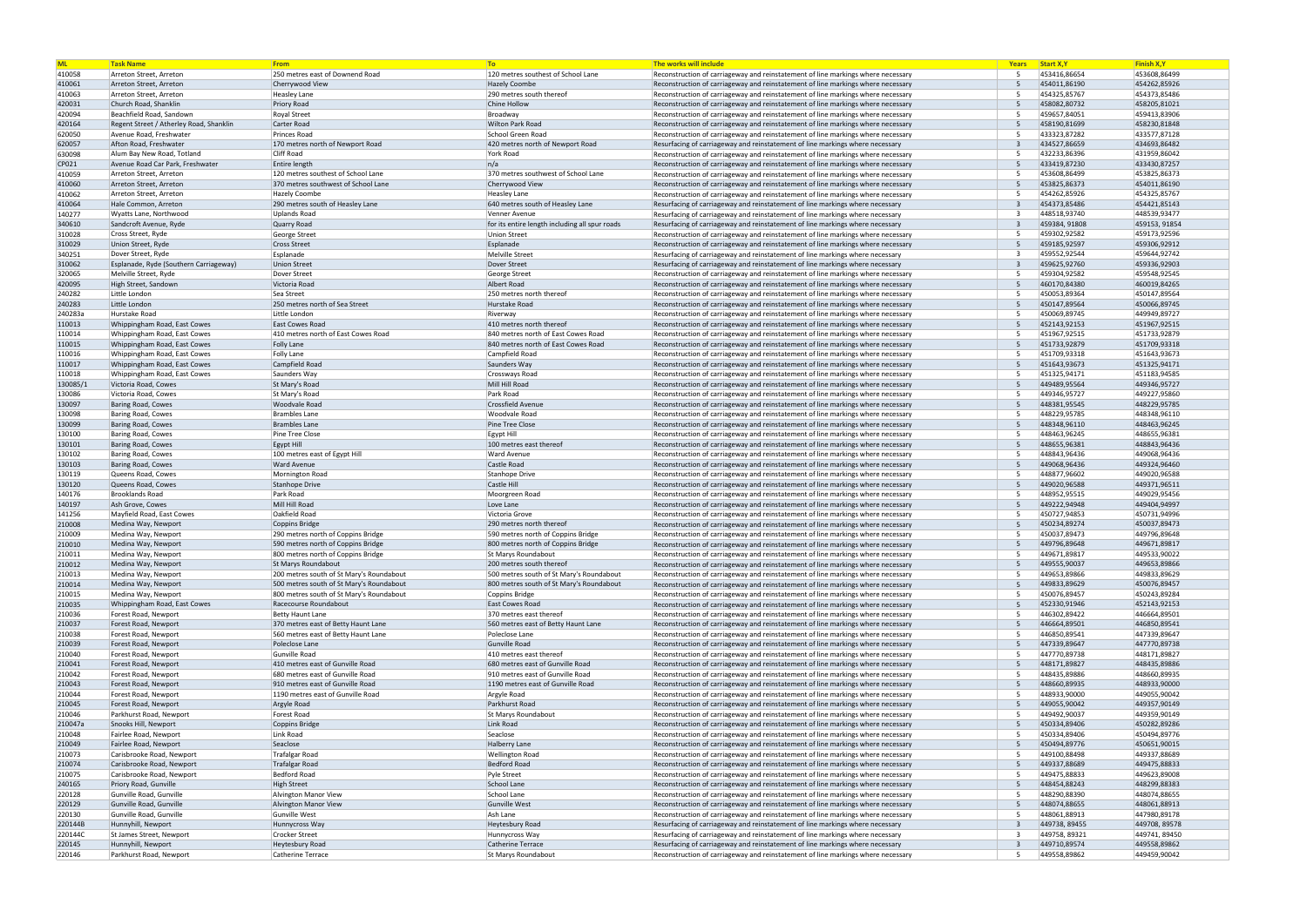| <b>ML</b>        | <b>Task Name</b>                                                    | From                                     | <b>To</b>                                      | The works will include                                                                                                                                               | Years                 | Start X, Y                   | <b>Finish X,Y</b>            |
|------------------|---------------------------------------------------------------------|------------------------------------------|------------------------------------------------|----------------------------------------------------------------------------------------------------------------------------------------------------------------------|-----------------------|------------------------------|------------------------------|
| 410058           | Arreton Street, Arreton                                             | 250 metres east of Downend Road          | 120 metres southest of School Lane             | Reconstruction of carriageway and reinstatement of line markings where necessary                                                                                     | -5                    | 453416,86654                 | 453608,86499                 |
| 410061           | Arreton Street, Arreton                                             | Cherrywood View                          | <b>Hazely Coombe</b>                           | Reconstruction of carriageway and reinstatement of line markings where necessary                                                                                     | .5                    | 454011,86190                 | 454262,85926                 |
| 410063           | Arreton Street, Arreton                                             | <b>Heasley Lane</b>                      | 290 metres south thereof                       | Reconstruction of carriageway and reinstatement of line markings where necessary                                                                                     | -5                    | 454325,85767                 | 454373,85486                 |
| 420031           | Church Road, Shanklin                                               | <b>Priory Road</b>                       | Chine Hollow                                   | Reconstruction of carriageway and reinstatement of line markings where necessary                                                                                     | $\overline{5}$        | 458082,80732                 | 458205,81021                 |
| 420094           | Beachfield Road, Sandowr<br>Regent Street / Atherley Road, Shanklin | <b>Royal Street</b><br>Carter Road       | Broadway<br><b>Wilton Park Road</b>            | Reconstruction of carriageway and reinstatement of line markings where necessary                                                                                     | -5<br>$\overline{5}$  | 459657,84051<br>458190,81699 | 459413,83906<br>458230,81848 |
| 420164<br>620050 | Avenue Road, Freshwater                                             | Princes Road                             | School Green Road                              | Reconstruction of carriageway and reinstatement of line markings where necessary<br>Reconstruction of carriageway and reinstatement of line markings where necessary |                       | 433323,87282                 | 433577,87128                 |
| 620057           | Afton Road, Freshwater                                              | 170 metres north of Newport Road         | 420 metres north of Newport Road               | Resurfacing of carriageway and reinstatement of line markings where necessary                                                                                        |                       | 434527,86659                 | 434693,86482                 |
| 630098           | Alum Bay New Road, Totland                                          | <b>Cliff Road</b>                        | York Road                                      | Reconstruction of carriageway and reinstatement of line markings where necessary                                                                                     |                       | 432233,86396                 | 431959,86042                 |
| CP021            | Avenue Road Car Park, Freshwater                                    | Entire length                            | n/a                                            | Reconstruction of carriageway and reinstatement of line markings where necessary                                                                                     |                       | 433419,87230                 | 433430,87257                 |
| 410059           | Arreton Street, Arreton                                             | 120 metres southest of School Lane       | 370 metres southwest of School Lane            | Reconstruction of carriageway and reinstatement of line markings where necessary                                                                                     | -5                    | 453608,86499                 | 453825,86373                 |
| 410060           | Arreton Street, Arreton                                             | 370 metres southwest of School Lane      | Cherrywood View                                | Reconstruction of carriageway and reinstatement of line markings where necessary                                                                                     | -5                    | 453825,86373                 | 454011,86190                 |
| 410062           | Arreton Street. Arreton                                             | <b>Hazely Coombe</b>                     | <b>Heasley Lane</b>                            | Reconstruction of carriageway and reinstatement of line markings where necessary                                                                                     | -5                    | 454262,85926                 | 454325,85767                 |
| 410064           | Hale Common, Arreton                                                | 290 metres south of Heasley Lane         | 640 metres south of Heasley Lane               | Resurfacing of carriageway and reinstatement of line markings where necessary                                                                                        | $\mathbf{a}$          | 454373,85486                 | 454421,85143                 |
| 140277           | Wyatts Lane, Northwood                                              | Uplands Road                             | Venner Avenue                                  | Resurfacing of carriageway and reinstatement of line markings where necessary                                                                                        |                       | 448518,93740                 | 448539,93477                 |
| 340610           | Sandcroft Avenue, Ryde                                              | Quarry Road                              | for its entire length including all spur roads | Resurfacing of carriageway and reinstatement of line markings where necessary                                                                                        | $\overline{3}$        | 459384, 91808                | 459153, 91854                |
| 310028           | Cross Street, Ryde                                                  | George Street                            | <b>Union Street</b>                            | Reconstruction of carriageway and reinstatement of line markings where necessary                                                                                     | -5                    | 459302,92582                 | 459173,92596                 |
| 310029           | Union Street, Ryde                                                  | <b>Cross Street</b>                      | Esplanade                                      | Reconstruction of carriageway and reinstatement of line markings where necessary                                                                                     | -5                    | 459185,92597                 | 459306,92912                 |
| 340251           | Dover Street, Ryde                                                  | Esplanade                                | Melville Street                                | Resurfacing of carriageway and reinstatement of line markings where necessary                                                                                        |                       | 459552,92544                 | 459644,92742                 |
| 310062           | Esplanade, Ryde (Southern Carriageway)                              | <b>Union Street</b>                      | Dover Street                                   | Resurfacing of carriageway and reinstatement of line markings where necessary                                                                                        | $\overline{3}$        | 459625,92760                 | 459336,92903                 |
| 320065           | Melville Street, Ryde                                               | Dover Street                             | George Street                                  | Reconstruction of carriageway and reinstatement of line markings where necessary                                                                                     | -5                    | 459304,92582                 | 459548,92545                 |
| 420095           | High Street, Sandown                                                | Victoria Road                            | Albert Road                                    | Reconstruction of carriageway and reinstatement of line markings where necessary                                                                                     | -5                    | 460170,84380                 | 460019,84265                 |
| 240282           | Little London                                                       | Sea Street                               | 250 metres north thereof                       | Reconstruction of carriageway and reinstatement of line markings where necessary                                                                                     | -5                    | 450053,89364                 | 450147,89564                 |
| 240283           | Little London                                                       | 250 metres north of Sea Street           | Hurstake Road                                  | Reconstruction of carriageway and reinstatement of line markings where necessary                                                                                     | $\overline{5}$        | 450147,89564                 | 450066,89745                 |
| 240283a          | Hurstake Road                                                       | Little London                            | Riverway                                       | Reconstruction of carriageway and reinstatement of line markings where necessary                                                                                     | -5                    | 450069,89745                 | 449949,89727                 |
| 110013           | Whippingham Road, East Cowes                                        | <b>East Cowes Road</b>                   | 410 metres north thereof                       | Reconstruction of carriageway and reinstatement of line markings where necessary                                                                                     | $\overline{5}$        | 452143,92153                 | 451967,92515                 |
| 110014           | Whippingham Road, East Cowes                                        | 410 metres north of East Cowes Road      | 840 metres north of East Cowes Road            | Reconstruction of carriageway and reinstatement of line markings where necessary                                                                                     |                       | 451967,92515                 | 451733,92879                 |
| 110015           | Whippingham Road, East Cowes                                        | <b>Folly Lane</b>                        | 840 metres north of East Cowes Road            | Reconstruction of carriageway and reinstatement of line markings where necessary                                                                                     | -5                    | 451733,92879                 | 451709,93318                 |
| 110016           | Whippingham Road, East Cowes                                        | Folly Lane                               | Campfield Road                                 | Reconstruction of carriageway and reinstatement of line markings where necessary                                                                                     |                       | 451709,93318                 | 451643,93673                 |
| 110017           | Whippingham Road, East Cowes                                        | Campfield Road                           | Saunders Way                                   | Reconstruction of carriageway and reinstatement of line markings where necessary                                                                                     | 5                     | 451643,93673                 | 451325,94171                 |
| 110018           | Whippingham Road, East Cowes                                        | Saunders Way                             | Crossways Road                                 | Reconstruction of carriageway and reinstatement of line markings where necessary                                                                                     |                       | 451325,94171                 | 451183,94585                 |
| 130085/          | Victoria Road, Cowes                                                | St Mary's Road                           | Mill Hill Road                                 | Reconstruction of carriageway and reinstatement of line markings where necessary                                                                                     | $\overline{5}$        | 449489,95564                 | 449346,95727                 |
| 130086           | Victoria Road, Cowes                                                | St Mary's Road                           | Park Road                                      | Reconstruction of carriageway and reinstatement of line markings where necessary                                                                                     |                       | 449346,95727                 | 449227,95860                 |
| 130097           | <b>Baring Road, Cowes</b>                                           | <b>Woodvale Road</b>                     | <b>Crossfield Avenue</b>                       | Reconstruction of carriageway and reinstatement of line markings where necessary                                                                                     | -5                    | 448381,95545                 | 448229,95785                 |
| 130098           | <b>Baring Road, Cowes</b>                                           | <b>Brambles Lane</b>                     | <b>Woodvale Road</b>                           | Reconstruction of carriageway and reinstatement of line markings where necessary                                                                                     | -5                    | 448229,95785                 | 448348,96110                 |
| 130099           | Baring Road, Cowes                                                  | <b>Brambles Lane</b>                     | <b>Pine Tree Close</b>                         | Reconstruction of carriageway and reinstatement of line markings where necessary                                                                                     | -5                    | 448348,96110                 | 448463,96245                 |
| 130100           | <b>Baring Road, Cowes</b>                                           | Pine Tree Close                          | Egypt Hill                                     | Reconstruction of carriageway and reinstatement of line markings where necessary                                                                                     | -5                    | 448463,96245                 | 448655,96381                 |
| 130101           | Baring Road, Cowes                                                  | Egypt Hill                               | 100 metres east thereof                        | Reconstruction of carriageway and reinstatement of line markings where necessary                                                                                     | -5<br>-5              | 448655,96381                 | 448843,96436                 |
| 130102           | <b>Baring Road, Cowes</b>                                           | 100 metres east of Egypt Hill            | <b>Ward Avenue</b>                             | Reconstruction of carriageway and reinstatement of line markings where necessary                                                                                     | $\overline{5}$        | 448843,96436                 | 449068,96436                 |
| 130103           | Baring Road, Cowes                                                  | <b>Ward Avenue</b>                       | <b>Castle Road</b>                             | Reconstruction of carriageway and reinstatement of line markings where necessary                                                                                     |                       | 449068,96436                 | 449324,96460                 |
| 130119           | Queens Road, Cowes<br>Queens Road, Cowes                            | Mornington Road                          | Stanhope Drive<br>Castle Hill                  | Reconstruction of carriageway and reinstatement of line markings where necessary                                                                                     | -5<br>$5\overline{6}$ | 448877,96602                 | 449020,96588<br>449371,96511 |
| 130120           | <b>Brooklands Road</b>                                              | <b>Stanhope Drive</b><br>Park Road       |                                                | Reconstruction of carriageway and reinstatement of line markings where necessary                                                                                     | -5                    | 449020,96588<br>448952,95515 | 449029,95456                 |
| 140176           | Ash Grove, Cowes                                                    | Mill Hill Road                           | Moorgreen Road                                 | Reconstruction of carriageway and reinstatement of line markings where necessary                                                                                     | $\overline{5}$        | 449222,94948                 | 449404,94997                 |
| 140197<br>141256 | Mayfield Road, East Cowes                                           | Oakfield Road                            | Love Lane<br>Victoria Grove                    | Reconstruction of carriageway and reinstatement of line markings where necessary<br>Reconstruction of carriageway and reinstatement of line markings where necessary | -5                    | 450727,94853                 | 450731,94996                 |
| 210008           | Medina Way, Newport                                                 | Coppins Bridge                           | 290 metres north thereof                       | Reconstruction of carriageway and reinstatement of line markings where necessary                                                                                     | $\overline{5}$        | 450234,89274                 | 450037,89473                 |
| 210009           | Medina Way, Newport                                                 | 290 metres north of Coppins Bridge       | 590 metres north of Coppins Bridge             | Reconstruction of carriageway and reinstatement of line markings where necessary                                                                                     | -5                    | 450037,89473                 | 449796,89648                 |
| 210010           | Medina Way, Newport                                                 | 590 metres north of Coppins Bridge       | 800 metres north of Coppins Bridge             | Reconstruction of carriageway and reinstatement of line markings where necessary                                                                                     | 5 <sup>5</sup>        | 449796,89648                 | 449671,89817                 |
| 210011           | Medina Way, Newport                                                 | 800 metres north of Coppins Bridge       | St Marys Roundabout                            | Reconstruction of carriageway and reinstatement of line markings where necessary                                                                                     |                       | 449671,89817                 | 449533,90022                 |
| 210012           | Medina Way, Newport                                                 | St Marys Roundabout                      | 200 metres south thereof                       | Reconstruction of carriageway and reinstatement of line markings where necessary                                                                                     | 5                     | 449555,90037                 | 449653,89866                 |
| 210013           | Medina Way, Newport                                                 | 200 metres south of St Mary's Roundabout | 500 metres south of St Mary's Roundabout       | Reconstruction of carriageway and reinstatement of line markings where necessary                                                                                     | -5                    | 449653,89866                 | 449833,89629                 |
| 210014           | Medina Way, Newport                                                 | 500 metres south of St Mary's Roundabout | 800 metres south of St Mary's Roundabout       | Reconstruction of carriageway and reinstatement of line markings where necessary                                                                                     | .5                    | 449833,89629                 | 450076,89457                 |
| 210015           | Medina Way, Newport                                                 | 800 metres south of St Mary's Roundabout | Coppins Bridge                                 | Reconstruction of carriageway and reinstatement of line markings where necessary                                                                                     | -5                    | 450076,89457                 | 450243,89284                 |
| 210035           | Whippingham Road, East Cowes                                        | Racecourse Roundabout                    | <b>East Cowes Road</b>                         | Reconstruction of carriageway and reinstatement of line markings where necessary                                                                                     |                       | 452330,91946                 | 452143,92153                 |
| 210036           | Forest Road, Newport                                                | <b>Betty Haunt Lane</b>                  | 370 metres east thereof                        | Reconstruction of carriageway and reinstatement of line markings where necessary                                                                                     |                       | 446302,89422                 | 446664,89501                 |
| 210037           | Forest Road, Newport                                                | 370 metres east of Betty Haunt Lane      | 560 metres east of Betty Haunt Lane            | Reconstruction of carriageway and reinstatement of line markings where necessary                                                                                     | -5                    | 446664,89501                 | 446850,89541                 |
| 210038           | Forest Road, Newport                                                | 560 metres east of Betty Haunt Lane      | Poleclose Lane                                 | Reconstruction of carriageway and reinstatement of line markings where necessary                                                                                     | -5                    | 446850,89541                 | 447339,89647                 |
| 210039           | Forest Road, Newport                                                | Poleclose Lane                           | <b>Gunville Road</b>                           | Reconstruction of carriageway and reinstatement of line markings where necessary                                                                                     |                       | 447339,89647                 | 447770,89738                 |
| 210040           | Forest Road, Newport                                                | Gunville Road                            | 410 metres east thereof                        | Reconstruction of carriageway and reinstatement of line markings where necessary                                                                                     | -5                    | 447770,89738                 | 448171,89827                 |
| 210041           | Forest Road, Newport                                                | 410 metres east of Gunville Road         | 680 metres east of Gunville Road               | Reconstruction of carriageway and reinstatement of line markings where necessary                                                                                     | -5                    | 448171,89827                 | 448435,89886                 |
| 210042           | Forest Road, Newport                                                | 680 metres east of Gunville Road         | 910 metres east of Gunville Road               | Reconstruction of carriageway and reinstatement of line markings where necessary                                                                                     | -5                    | 448435,89886                 | 448660,89935                 |
| 210043           | Forest Road, Newport                                                | 910 metres east of Gunville Road         | 1190 metres east of Gunville Road              | Reconstruction of carriageway and reinstatement of line markings where necessary                                                                                     | $\overline{5}$        | 448660,89935                 | 448933.90000                 |
| 210044           | Forest Road, Newport                                                | 1190 metres east of Gunville Road        | Argyle Road                                    | Reconstruction of carriageway and reinstatement of line markings where necessary                                                                                     | 5                     | 448933,90000                 | 449055,90042                 |
| 210045           | Forest Road, Newport                                                | Argyle Road                              | Parkhurst Road                                 | Reconstruction of carriageway and reinstatement of line markings where necessary                                                                                     | -5                    | 449055,90042                 | 449357,90149                 |
| 210046           | Parkhurst Road, Newport                                             | Forest Road                              | <b>St Marys Roundabout</b>                     | Reconstruction of carriageway and reinstatement of line markings where necessary                                                                                     | -5                    | 449492,90037                 | 449359,90149                 |
| 210047a          | Snooks Hill, Newport                                                | Coppins Bridge                           | Link Road                                      | Reconstruction of carriageway and reinstatement of line markings where necessary                                                                                     | .5                    | 450334,89406                 | 450282,89286                 |
| 210048           | Fairlee Road, Newport                                               | Link Road                                | Seaclose                                       | Reconstruction of carriageway and reinstatement of line markings where necessary                                                                                     | -5                    | 450334,89406                 | 450494,89776                 |
| 210049           | Fairlee Road, Newport                                               | Seaclose                                 | <b>Halberry Lane</b>                           | Reconstruction of carriageway and reinstatement of line markings where necessary                                                                                     | -5                    | 450494,89776                 | 450651,90015                 |
| 210073           | Carisbrooke Road, Newport                                           | Trafalgar Road                           | <b>Wellington Road</b>                         | Reconstruction of carriageway and reinstatement of line markings where necessary                                                                                     | -5                    | 449100,88498                 | 449337,88689                 |
| 210074           | Carisbrooke Road, Newport                                           | <b>Trafalgar Road</b>                    | <b>Bedford Road</b>                            | Reconstruction of carriageway and reinstatement of line markings where necessary                                                                                     | 5                     | 449337,88689                 | 449475,88833                 |
| 210075           | Carisbrooke Road, Newport                                           | Bedford Road                             | Pyle Street                                    | Reconstruction of carriageway and reinstatement of line markings where necessary                                                                                     | -5                    | 449475,88833                 | 449623,89008                 |
| 240165           | Priory Road, Gunville                                               | <b>High Street</b>                       | School Lane                                    | Reconstruction of carriageway and reinstatement of line markings where necessary                                                                                     | 5                     | 448454,88243                 | 448299,88383                 |
| 220128           | Gunville Road, Gunville                                             | Alvington Manor View                     | School Lane                                    | Reconstruction of carriageway and reinstatement of line markings where necessary                                                                                     | -5                    | 448290,88390                 | 448074,88655                 |
| 220129           | Gunville Road, Gunville                                             | Alvington Manor View                     | Gunville West                                  | Reconstruction of carriageway and reinstatement of line markings where necessary                                                                                     | 5                     | 448074,88655                 | 448061,88913                 |
| 220130           | Gunville Road, Gunville                                             | Gunville West                            | Ash Lane                                       | Reconstruction of carriageway and reinstatement of line markings where necessary                                                                                     | .5                    | 448061,88913                 | 447980,89178                 |
| 220144B          | Hunnyhill, Newport                                                  | Hunnycross Way                           | Heytesbury Road                                | Resurfacing of carriageway and reinstatement of line markings where necessary                                                                                        | $\overline{3}$        | 449738, 89455                | 449708, 89578                |
| 220144C          | St James Street, Newport                                            | <b>Crocker Street</b>                    | Hunnycross Way                                 | Resurfacing of carriageway and reinstatement of line markings where necessary                                                                                        |                       | 449758, 89321                | 449741, 89450                |
| 220145           | Hunnyhill, Newport                                                  | <b>Heytesbury Road</b>                   | <b>Catherine Terrace</b>                       | Resurfacing of carriageway and reinstatement of line markings where necessary                                                                                        | 3                     | 449710,89574                 | 449558,89862                 |
| 220146           | Parkhurst Road, Newport                                             | Catherine Terrace                        | St Marys Roundabout                            | Reconstruction of carriageway and reinstatement of line markings where necessary                                                                                     | -5                    | 449558,89862                 | 449459,90042                 |

| Years  | <b>Start X, Y</b>            | <b>Finish X,Y</b>            |
|--------|------------------------------|------------------------------|
| 5      | 453416,86654                 | 453608,86499                 |
| 5      | 454011,86190                 | 454262,85926                 |
| 5      | 454325,85767                 | 454373,85486                 |
| 5      | 458082,80732                 | 458205,81021                 |
| 5      | 459657,84051                 | 459413,83906                 |
| 5      | 458190,81699                 | 458230,81848                 |
| 5      | 433323,87282                 | 433577,87128                 |
| 3      | 434527,86659                 | 434693,86482                 |
| 5      | 432233,86396                 | 431959,86042                 |
| 5      | 433419,87230                 | 433430,87257                 |
| 5      | 453608,86499                 | 453825,86373                 |
| 5      | 453825,86373                 | 454011,86190                 |
| 5      | 454262,85926                 | 454325,85767                 |
| 3      | 454373,85486                 | 454421,85143                 |
| 3      | 448518,93740                 | 448539,93477                 |
| 3      | 459384, 91808                | 459153, 91854                |
| 5      | 459302,92582                 | 459173,92596                 |
| 5      | 459185,92597                 | 459306,92912                 |
| 3      | 459552,92544                 | 459644,92742                 |
| 3      | 459625,92760                 | 459336,92903                 |
| 5      | 459304,92582                 | 459548,92545                 |
| 5      | 460170,84380                 | 460019,84265                 |
| 5      | 450053,89364                 | 450147,89564                 |
| 5      | 450147,89564                 | 450066,89745                 |
| 5      | 450069,89745                 | 449949,89727                 |
| 5      | 452143,92153                 | 451967,92515                 |
| 5      | 451967,92515                 | 451733,92879                 |
| 5      | 451733,92879<br>451709,93318 | 451709,93318<br>451643,93673 |
| 5      |                              | 451325,94171                 |
| 5      | 451643,93673                 |                              |
| 5      | 451325,94171                 | 451183,94585                 |
| 5      | 449489,95564                 | 449346,95727                 |
| 5<br>5 | 449346,95727                 | 449227,95860                 |
|        | 448381,95545                 | 448229,95785                 |
| 5      | 448229,95785                 | 448348,96110                 |
| 5      | 448348,96110                 | 448463,96245                 |
| 5      | 448463,96245                 | 448655,96381                 |
| 5      | 448655,96381                 | 448843,96436                 |
| 5      | 448843,96436                 | 449068,96436                 |
| 5      | 449068,96436                 | 449324,96460                 |
| 5<br>5 | 448877,96602<br>449020,96588 | 449020,96588<br>449371,96511 |
| 5      | 448952,95515                 | 449029,95456                 |
| 5      | 449222,94948                 | 449404,94997                 |
| 5      | 450727,94853                 | 450731,94996                 |
| 5      | 450234,89274                 | 450037,89473                 |
| 5      | 450037,89473                 | 449796,89648                 |
| 5      | 449796,89648                 | 449671,89817                 |
| 5      | 449671,89817                 | 449533,90022                 |
| 5      | 449555,90037                 | 449653,89866                 |
| 5      | 449653,89866                 | 449833,89629                 |
| 5      | 449833,89629                 | 450076,89457                 |
| 5      | 450076,89457                 | 450243,89284                 |
| 5      | 452330,91946                 | 452143,92153                 |
| 5      | 446302,89422                 | 446664,89501                 |
| 5      | 446664,89501                 | 446850,89541                 |
| 5      | 446850,89541                 | 447339,89647                 |
| 5      | 447339,89647                 | 447770,89738                 |
| 5      | 447770,89738                 | 448171,89827                 |
| 5      | 448171,89827                 | 448435,89886                 |
| 5      | 448435,89886                 | 448660,89935                 |
| 5      | 448660,89935                 | 448933,90000                 |
| 5      | 448933,90000                 | 449055,90042                 |
| 5      | 449055,90042                 | 449357,90149                 |
| 5      | 449492,90037                 | 449359,90149                 |
| 5      | 450334,89406                 | 450282,89286                 |
| 5      | 450334,89406                 | 450494,89776                 |
| 5      | 450494,89776                 | 450651,90015                 |
| 5      | 449100,88498                 | 449337,88689                 |
| 5      | 449337,88689                 | 449475,88833                 |
| 5      | 449475,88833                 | 449623,89008                 |
| 5      | 448454,88243                 | 448299,88383                 |
| 5      | 448290,88390                 | 448074,88655                 |
| 5      | 448074,88655                 | 448061,88913                 |
| 5      | 448061,88913                 | 447980,89178                 |
| 3      | 449738, 89455                | 449708, 89578                |
| 3      | 449758, 89321                | 449741, 89450                |
| 3      | 449710,89574                 | 449558,89862                 |
| 5      | 449558,89862                 | 449459,90042                 |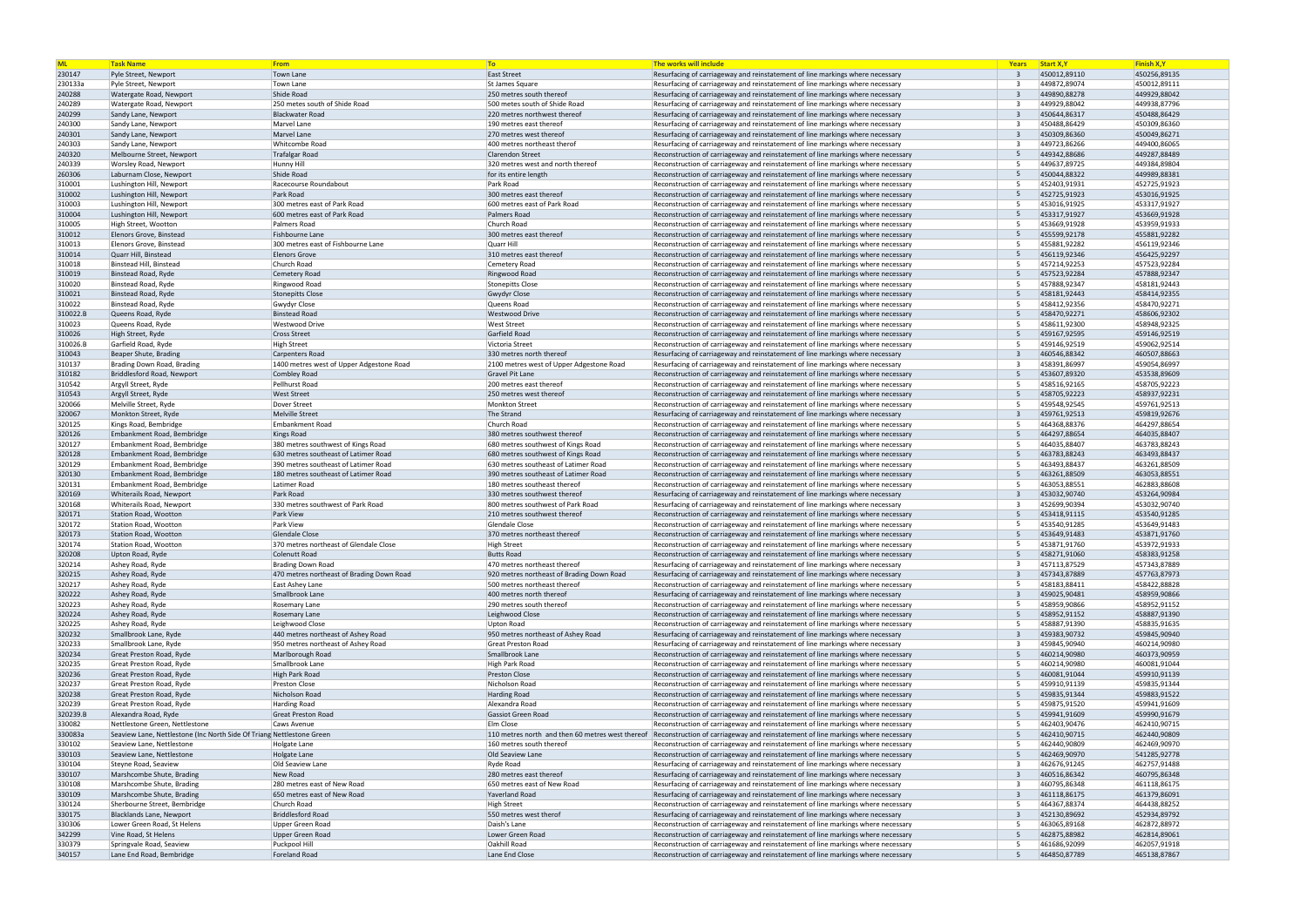| <b>ML</b>        | <b>Task Name</b>                                                      | From                                           | T <sub>o</sub>                                                    | The works will include                                                                                                                                               | Years                        | <b>Start X, Y</b>            | <b>Finish X,Y</b>            |
|------------------|-----------------------------------------------------------------------|------------------------------------------------|-------------------------------------------------------------------|----------------------------------------------------------------------------------------------------------------------------------------------------------------------|------------------------------|------------------------------|------------------------------|
| 230147           | Pyle Street, Newport                                                  | Town Lane                                      | East Street                                                       | Resurfacing of carriageway and reinstatement of line markings where necessary                                                                                        | $\mathbf{R}$                 | 450012,89110                 | 450256,89135                 |
| 230133a          | Pyle Street, Newport                                                  | Town Lane                                      | St James Square                                                   | Resurfacing of carriageway and reinstatement of line markings where necessary                                                                                        |                              | 449872,89074                 | 450012,89111                 |
| 240288           | Watergate Road, Newport                                               | Shide Road                                     | 250 metres south thereof                                          | Resurfacing of carriageway and reinstatement of line markings where necessary                                                                                        | $\overline{3}$               | 449890,88278                 | 449929,88042                 |
| 240289           | Watergate Road, Newport                                               | 250 metes south of Shide Road                  | 500 metes south of Shide Road                                     | Resurfacing of carriageway and reinstatement of line markings where necessary                                                                                        |                              | 449929,88042                 | 449938,87796                 |
| 240299           | Sandy Lane, Newport                                                   | <b>Blackwater Road</b>                         | 220 metres northwest thereof                                      | Resurfacing of carriageway and reinstatement of line markings where necessary                                                                                        | $\overline{3}$               | 450644,86317                 | 450488,86429                 |
| 240300           | Sandy Lane, Newport                                                   | Marvel Lane<br>Marvel Lane                     | 190 metres east thereof<br>270 metres west thereof                | Resurfacing of carriageway and reinstatement of line markings where necessary                                                                                        | $\overline{3}$               | 450488,86429<br>450309,86360 | 450309,86360<br>450049,86271 |
| 240301<br>240303 | Sandy Lane, Newport<br>Sandy Lane, Newport                            | Whitcombe Road                                 | 400 metres northeast therof                                       | Resurfacing of carriageway and reinstatement of line markings where necessary<br>Resurfacing of carriageway and reinstatement of line markings where necessary       |                              | 449723,86266                 | 449400,86065                 |
| 240320           | Melbourne Street, Newport                                             | <b>Trafalgar Road</b>                          | Clarendon Street                                                  | Reconstruction of carriageway and reinstatement of line markings where necessary                                                                                     | -5                           | 449342,88686                 | 449287,88489                 |
| 240339           | Worsley Road, Newport                                                 | Hunny Hill                                     | 320 metres west and north thereof                                 | Reconstruction of carriageway and reinstatement of line markings where necessary                                                                                     | -5                           | 449637,89725                 | 449384,89804                 |
| 260306           | Laburnam Close, Newport                                               | Shide Road                                     | for its entire length                                             | Reconstruction of carriageway and reinstatement of line markings where necessary                                                                                     | 5                            | 450044.88322                 | 449989,88381                 |
| 310001           | Lushington Hill, Newport                                              | Racecourse Roundabout                          | Park Road                                                         | Reconstruction of carriageway and reinstatement of line markings where necessary                                                                                     | -5                           | 452403,91931                 | 452725,91923                 |
| 310002           | Lushington Hill, Newport                                              | Park Road                                      | 300 metres east thereof                                           | Reconstruction of carriageway and reinstatement of line markings where necessary                                                                                     | 5                            | 452725,91923                 | 453016,91925                 |
| 310003           | Lushington Hill, Newport                                              | 300 metres east of Park Road                   | 600 metres east of Park Road                                      | Reconstruction of carriageway and reinstatement of line markings where necessary                                                                                     | -5                           | 453016,91925                 | 453317,91927                 |
| 310004           | Lushington Hill, Newport                                              | 600 metres east of Park Road                   | Palmers Road                                                      | Reconstruction of carriageway and reinstatement of line markings where necessary                                                                                     | 5                            | 453317.91927                 | 453669,91928                 |
| 310005           | High Street, Wootton                                                  | Palmers Road                                   | Church Road                                                       | Reconstruction of carriageway and reinstatement of line markings where necessary                                                                                     | -5                           | 453669,91928                 | 453959,91933                 |
| 310012           | Elenors Grove, Binstead                                               | Fishbourne Lane                                | 300 metres east thereof                                           | Reconstruction of carriageway and reinstatement of line markings where necessary                                                                                     | 5                            | 455599,92178                 | 455881,92282                 |
| 310013           | Elenors Grove, Binstead                                               | 300 metres east of Fishbourne Lane             | Quarr Hill                                                        | Reconstruction of carriageway and reinstatement of line markings where necessary                                                                                     | -5                           | 455881,92282                 | 456119,92346                 |
| 310014           | Quarr Hill, Binstead                                                  | <b>Elenors Grove</b>                           | 310 metres east thereof                                           | Reconstruction of carriageway and reinstatement of line markings where necessary                                                                                     | 5 <sub>5</sub>               | 456119,92346                 | 456425,92297                 |
| 310018           | Binstead Hill, Binstead                                               | Church Road                                    | Cemetery Road                                                     | Reconstruction of carriageway and reinstatement of line markings where necessary                                                                                     | -5                           | 457214,92253                 | 457523,92284                 |
| 310019           | Binstead Road, Ryde                                                   | Cemetery Road                                  | Ringwood Road                                                     | Reconstruction of carriageway and reinstatement of line markings where necessary                                                                                     | 5 <sub>5</sub>               | 457523,92284                 | 457888,92347                 |
| 310020           | Binstead Road, Ryde                                                   | Ringwood Road                                  | Stonepitts Close                                                  | Reconstruction of carriageway and reinstatement of line markings where necessary                                                                                     | -5                           | 457888,92347                 | 458181,92443                 |
| 310021           | Binstead Road, Ryde                                                   | <b>Stonepitts Close</b>                        | Gwydyr Close                                                      | Reconstruction of carriageway and reinstatement of line markings where necessary                                                                                     | -5<br>-5                     | 458181,92443                 | 458414,92355                 |
| 310022           | Binstead Road, Ryde                                                   | Gwydyr Close                                   | Queens Road                                                       | Reconstruction of carriageway and reinstatement of line markings where necessary<br>Reconstruction of carriageway and reinstatement of line markings where necessary | -5                           | 458412,92356<br>458470,92271 | 458470,92271<br>458606,92302 |
| 310022.B         | Queens Road, Ryde<br>Queens Road, Ryde                                | <b>Binstead Road</b><br><b>Westwood Drive</b>  | <b>Westwood Drive</b><br><b>West Street</b>                       | Reconstruction of carriageway and reinstatement of line markings where necessary                                                                                     | -5                           | 458611,92300                 | 458948,92325                 |
| 310023<br>310026 | High Street, Ryde                                                     | <b>Cross Street</b>                            | Garfield Road                                                     | Reconstruction of carriageway and reinstatement of line markings where necessary                                                                                     |                              | 459167,92595                 | 459146,92519                 |
| 310026.          | Garfield Road, Ryde                                                   | High Street                                    | Victoria Street                                                   | Reconstruction of carriageway and reinstatement of line markings where necessary                                                                                     | -5                           | 459146,92519                 | 459062,92514                 |
| 310043           | Beaper Shute, Brading                                                 | Carpenters Road                                | 330 metres north thereof                                          | Resurfacing of carriageway and reinstatement of line markings where necessary                                                                                        |                              | 460546,88342                 | 460507,88663                 |
| 310137           | Brading Down Road, Brading                                            | 1400 metres west of Upper Adgestone Road       | 2100 metres west of Upper Adgestone Road                          | Resurfacing of carriageway and reinstatement of line markings where necessary                                                                                        | $\mathbf{R}$                 | 458391,86997                 | 459054,86997                 |
| 310182           | Briddlesford Road, Newport                                            | <b>Combley Road</b>                            | <b>Gravel Pit Lane</b>                                            | Reconstruction of carriageway and reinstatement of line markings where necessary                                                                                     | -5                           | 453607,89320                 | 453538,89609                 |
| 310542           | Argyll Street, Ryde                                                   | Pellhurst Road                                 | 200 metres east thereof                                           | Reconstruction of carriageway and reinstatement of line markings where necessary                                                                                     | -5                           | 458516,92165                 | 458705,92223                 |
| 310543           | Argyll Street, Ryde                                                   | <b>West Street</b>                             | 250 metres west thereof                                           | Reconstruction of carriageway and reinstatement of line markings where necessary                                                                                     | -5                           | 458705,92223                 | 458937,92231                 |
| 320066           | Melville Street, Ryde                                                 | Dover Street                                   | Monkton Street                                                    | Reconstruction of carriageway and reinstatement of line markings where necessary                                                                                     | -5                           | 459548,92545                 | 459761,92513                 |
| 320067           | Monkton Street, Ryde                                                  | Melville Street                                | The Strand                                                        | Resurfacing of carriageway and reinstatement of line markings where necessary                                                                                        |                              | 459761,92513                 | 459819,92676                 |
| 320125           | Kings Road, Bembridge                                                 | <b>Embankment Road</b>                         | Church Road                                                       | Reconstruction of carriageway and reinstatement of line markings where necessary                                                                                     | -5                           | 464368,88376                 | 464297,88654                 |
| 320126           | Embankment Road, Bembridge                                            | Kings Road                                     | 380 metres southwest thereof                                      | Reconstruction of carriageway and reinstatement of line markings where necessary                                                                                     | 5                            | 464297,88654                 | 464035,88407                 |
| 320127           | Embankment Road, Bembridge                                            | 380 metres southwest of Kings Road             | 680 metres southwest of Kings Road                                | Reconstruction of carriageway and reinstatement of line markings where necessary                                                                                     | -5                           | 464035,88407                 | 463783,88243                 |
| 320128           | Embankment Road, Bembridge                                            | 630 metres southeast of Latimer Road           | 680 metres southwest of Kings Road                                | Reconstruction of carriageway and reinstatement of line markings where necessary                                                                                     | -5                           | 463783,88243                 | 463493,88437                 |
| 320129           | Embankment Road, Bembridge                                            | 390 metres southeast of Latimer Road           | 630 metres southeast of Latimer Road                              | Reconstruction of carriageway and reinstatement of line markings where necessary                                                                                     | -5                           | 463493,88437                 | 463261,88509                 |
| 320130           | Embankment Road, Bembridge                                            | 180 metres southeast of Latimer Road           | 390 metres southeast of Latimer Road                              | Reconstruction of carriageway and reinstatement of line markings where necessary                                                                                     | -5                           | 463261,88509                 | 463053,88551                 |
| 320131           | Embankment Road, Bembridge                                            | Latimer Road                                   | 180 metres southeast thereof                                      | Reconstruction of carriageway and reinstatement of line markings where necessary                                                                                     | -5                           | 463053,88551                 | 462883,88608                 |
| 320169           | Whiterails Road, Newport                                              | Park Road                                      | 330 metres southwest thereof                                      | Resurfacing of carriageway and reinstatement of line markings where necessary                                                                                        | $\mathbf{R}$<br>$\mathbf{R}$ | 453032,90740                 | 453264,90984                 |
| 320168<br>320171 | Whiterails Road, Newport<br><b>Station Road, Wootton</b>              | 330 metres southwest of Park Road<br>Park View | 800 metres southwest of Park Road<br>210 metres southwest thereof | Resurfacing of carriageway and reinstatement of line markings where necessary<br>Reconstruction of carriageway and reinstatement of line markings where necessary    | 5                            | 452699,90394<br>453418,91115 | 453032,90740<br>453540,91285 |
| 320172           | Station Road, Wootton                                                 | Park View                                      | Glendale Close                                                    | Reconstruction of carriageway and reinstatement of line markings where necessary                                                                                     | -5                           | 453540,91285                 | 453649,91483                 |
| 320173           | <b>Station Road, Wootton</b>                                          | Glendale Close                                 | 370 metres northeast thereof                                      | Reconstruction of carriageway and reinstatement of line markings where necessary                                                                                     | 5                            | 453649,91483                 | 453871,91760                 |
| 320174           | Station Road, Wootton                                                 | 370 metres northeast of Glendale Close         | High Street                                                       | Reconstruction of carriageway and reinstatement of line markings where necessary                                                                                     | 5                            | 453871,91760                 | 453972,91933                 |
| 320208           | Upton Road, Ryde                                                      | Colenutt Road                                  | <b>Butts Road</b>                                                 | Reconstruction of carriageway and reinstatement of line markings where necessary                                                                                     |                              | 458271,91060                 | 458383,91258                 |
| 320214           | Ashey Road, Ryde                                                      | Brading Down Road                              | 470 metres northeast thereof                                      | Resurfacing of carriageway and reinstatement of line markings where necessary                                                                                        |                              | 457113,87529                 | 457343,87889                 |
| 320215           | Ashey Road, Ryde                                                      | 470 metres northeast of Brading Down Road      | 920 metres northeast of Brading Down Road                         | Resurfacing of carriageway and reinstatement of line markings where necessary                                                                                        | $\overline{3}$               | 457343,87889                 | 457763,87973                 |
| 320217           | Ashey Road, Ryde                                                      | East Ashey Lane                                | 500 metres northeast thereof                                      | Reconstruction of carriageway and reinstatement of line markings where necessary                                                                                     | -5                           | 458183,88411                 | 458422,88828                 |
| 320222           | Ashey Road, Ryde                                                      | Smallbrook Lane                                | 400 metres north thereof                                          | Resurfacing of carriageway and reinstatement of line markings where necessary                                                                                        | $\overline{3}$               | 459025,90481                 | 458959,90866                 |
| 320223           | Ashey Road, Ryde                                                      | Rosemary Lane                                  | 290 metres south thereof                                          | Reconstruction of carriageway and reinstatement of line markings where necessary                                                                                     | -5                           | 458959,90866                 | 458952,91152                 |
| 320224           | Ashey Road, Ryde                                                      | <b>Rosemary Lane</b>                           | Leighwood Close                                                   | Reconstruction of carriageway and reinstatement of line markings where necessary                                                                                     | - 5                          | 458952,91152                 | 458887,91390                 |
| 320225           | Ashey Road, Ryde                                                      | Leighwood Close                                | Upton Road                                                        | Reconstruction of carriageway and reinstatement of line markings where necessary                                                                                     | -5                           | 458887,91390                 | 458835,91635                 |
| 320232           | Smallbrook Lane, Ryde                                                 | 440 metres northeast of Ashey Road             | 950 metres northeast of Ashey Road                                | Resurfacing of carriageway and reinstatement of line markings where necessary                                                                                        | $\overline{3}$               | 459383,90732                 | 459845,90940                 |
| 320233           | Smallbrook Lane, Ryde                                                 | 950 metres northeast of Ashey Road             | <b>Great Preston Road</b>                                         | Resurfacing of carriageway and reinstatement of line markings where necessary                                                                                        | -3                           | 459845,90940                 | 460214,90980                 |
| 320234           | Great Preston Road, Ryde                                              | Marlborough Road                               | Smallbrook Lane                                                   | Reconstruction of carriageway and reinstatement of line markings where necessary                                                                                     | 5                            | 460214,90980                 | 460373,90959                 |
| 320235           | Great Preston Road, Ryde                                              | Smallbrook Lane                                | High Park Road                                                    | Reconstruction of carriageway and reinstatement of line markings where necessary                                                                                     | -5                           | 460214,90980                 | 460081,91044                 |
| 320236           | Great Preston Road, Ryde                                              | High Park Road                                 | Preston Close                                                     | Reconstruction of carriageway and reinstatement of line markings where necessary                                                                                     | 5                            | 460081,91044                 | 459910,91139                 |
| 320237<br>320238 | Great Preston Road, Ryde<br>Great Preston Road, Ryde                  | <b>Preston Close</b><br>Nicholson Road         | Nicholson Road<br>Harding Road                                    | Reconstruction of carriageway and reinstatement of line markings where necessary<br>Reconstruction of carriageway and reinstatement of line markings where necessary | -5<br>5                      | 459910,91139<br>459835,91344 | 459835,91344<br>459883,91522 |
| 320239           | Great Preston Road, Ryde                                              | Harding Road                                   | Alexandra Road                                                    | Reconstruction of carriageway and reinstatement of line markings where necessary                                                                                     | -5                           | 459875,91520                 | 459941,91609                 |
| 320239.B         | Alexandra Road, Ryde                                                  | <b>Great Preston Road</b>                      | <b>Gassiot Green Road</b>                                         | Reconstruction of carriageway and reinstatement of line markings where necessary                                                                                     | 5                            | 459941,91609                 | 459990,91679                 |
| 330082           | Nettlestone Green, Nettlestone                                        | Caws Avenue                                    | Elm Close                                                         | Reconstruction of carriageway and reinstatement of line markings where necessary                                                                                     | -5                           | 462403,90476                 | 462410,90715                 |
| 330083a          | Seaview Lane, Nettlestone (Inc North Side Of Triang Nettlestone Green |                                                |                                                                   | 110 metres north and then 60 metres west thereof Reconstruction of carriageway and reinstatement of line markings where necessary                                    | 5                            | 462410,90715                 | 462440,90809                 |
| 330102           | Seaview Lane, Nettlestone                                             | Holgate Lane                                   | 160 metres south thereof                                          | Reconstruction of carriageway and reinstatement of line markings where necessary                                                                                     | -5                           | 462440,90809                 | 462469,90970                 |
| 330103           | Seaview Lane, Nettlestone                                             | Holgate Lane                                   | Old Seaview Lane                                                  | Reconstruction of carriageway and reinstatement of line markings where necessary                                                                                     | -5                           | 462469,90970                 | 541285,92778                 |
| 330104           | Steyne Road, Seaview                                                  | Old Seaview Lane                               | Ryde Road                                                         | Resurfacing of carriageway and reinstatement of line markings where necessary                                                                                        | -3                           | 462676,91245                 | 462757,91488                 |
| 330107           | Marshcombe Shute, Brading                                             | New Road                                       | 280 metres east thereof                                           | Resurfacing of carriageway and reinstatement of line markings where necessary                                                                                        | $\overline{3}$               | 460516,86342                 | 460795,86348                 |
| 330108           | Marshcombe Shute, Brading                                             | 280 metres east of New Road                    | 650 metres east of New Road                                       | Resurfacing of carriageway and reinstatement of line markings where necessary                                                                                        | $\overline{3}$               | 460795,86348                 | 461118,86175                 |
| 330109           | Marshcombe Shute, Brading                                             | 650 metres east of New Road                    | Yaverland Road                                                    | Resurfacing of carriageway and reinstatement of line markings where necessary                                                                                        | $\overline{3}$               | 461118,86175                 | 461379,86091                 |
| 330124           | Sherbourne Street, Bembridge                                          | Church Road                                    | High Street                                                       | Reconstruction of carriageway and reinstatement of line markings where necessary                                                                                     | -5                           | 464367,88374                 | 464438,88252                 |
| 330175           | <b>Blacklands Lane, Newport</b>                                       | <b>Briddlesford Road</b>                       | 550 metres west therof                                            | Resurfacing of carriageway and reinstatement of line markings where necessary                                                                                        |                              | 452130,89692                 | 452934,89792                 |
| 330306           | Lower Green Road, St Helens                                           | Upper Green Road                               | Daish's Lane                                                      | Reconstruction of carriageway and reinstatement of line markings where necessary                                                                                     | -5                           | 463065,89168                 | 462872,88972                 |
| 342299           | Vine Road, St Helens                                                  | Upper Green Road                               | Lower Green Road                                                  | Reconstruction of carriageway and reinstatement of line markings where necessary                                                                                     | -5                           | 462875,88982                 | 462814,89061                 |
| 330379           | Springvale Road, Seaview                                              | Puckpool Hill                                  | <b>Oakhill Road</b>                                               | Reconstruction of carriageway and reinstatement of line markings where necessary                                                                                     | -5<br>- 5                    | 461686,92099                 | 462057,91918                 |
| 340157           | Lane End Road, Bembridge                                              | Foreland Road                                  | Lane End Close                                                    | Reconstruction of carriageway and reinstatement of line markings where necessary                                                                                     |                              | 464850,87789                 | 465138,87867                 |

| <b>Years</b> | <b>Start X, Y</b>            | <b>Finish X,Y</b>            |
|--------------|------------------------------|------------------------------|
| 3            | 450012,89110                 | 450256,89135                 |
| 3            | 449872,89074                 | 450012,89111                 |
| 3            | 449890,88278                 | 449929,88042                 |
| 3            | 449929,88042                 | 449938,87796                 |
| 3            | 450644,86317                 | 450488,86429                 |
| 3            | 450488,86429                 | 450309,86360                 |
| 3            | 450309,86360                 | 450049,86271                 |
| 3            | 449723,86266                 | 449400,86065                 |
| 5            | 449342,88686                 | 449287,88489                 |
| 5            | 449637,89725                 | 449384,89804                 |
| 5            | 450044,88322                 | 449989,88381                 |
| 5            | 452403,91931                 | 452725,91923                 |
| 5            | 452725,91923                 | 453016,91925                 |
| 5            | 453016,91925                 | 453317,91927                 |
| 5            | 453317,91927                 | 453669,91928                 |
| 5<br>5       | 453669,91928<br>455599,92178 | 453959,91933<br>455881,92282 |
| 5            | 455881,92282                 | 456119,92346                 |
| 5            | 456119,92346                 | 456425,92297                 |
| 5            | 457214,92253                 | 457523,92284                 |
| 5            | 457523,92284                 | 457888,92347                 |
| 5            | 457888,92347                 | 458181,92443                 |
| 5            | 458181,92443                 | 458414,92355                 |
| 5            | 458412,92356                 | 458470,92271                 |
| 5            | 458470,92271                 | 458606,92302                 |
| 5            | 458611,92300                 | 458948,92325                 |
| 5            | 459167,92595                 | 459146,92519                 |
| 5            | 459146,92519                 | 459062,92514                 |
| 3            | 460546,88342                 | 460507,88663                 |
| 3            | 458391,86997                 | 459054,86997                 |
| 5            | 453607,89320                 | 453538,89609                 |
| 5            | 458516,92165                 | 458705,92223                 |
| 5            | 458705,92223                 | 458937,92231                 |
| 5            | 459548,92545                 | 459761,92513                 |
| 3            | 459761,92513                 | 459819,92676                 |
| 5            | 464368,88376                 | 464297,88654                 |
| 5            | 464297,88654                 | 464035,88407                 |
| 5            | 464035,88407                 | 463783,88243                 |
| 5            | 463783,88243                 | 463493,88437                 |
| 5            | 463493,88437                 | 463261,88509                 |
| 5<br>5       | 463261,88509<br>463053,88551 | 463053,88551<br>462883,88608 |
| 3            | 453032,90740                 | 453264,90984                 |
| 3            | 452699,90394                 | 453032,90740                 |
| 5            | 453418,91115                 | 453540,91285                 |
| 5            | 453540,91285                 | 453649,91483                 |
| 5            | 453649,91483                 | 453871,91760                 |
| 5            | 453871,91760                 | 453972,91933                 |
| 5            | 458271,91060                 | 458383,91258                 |
| 3            | 457113,87529                 | 457343,87889                 |
| 3            | 457343,87889                 | 457763,87973                 |
| 5            | 458183,88411                 | 458422,88828                 |
| 3            | 459025,90481                 | 458959,90866                 |
| 5            | 458959,90866                 | 458952,91152                 |
| 5            | 458952,91152                 | 458887,91390                 |
| 5            | 458887,91390                 | 458835,91635                 |
| 3            | 459383,90732                 | 459845,90940                 |
| 3            | 459845,90940                 | 460214,90980                 |
| 5<br>5       | 460214,90980<br>460214,90980 | 460373,90959                 |
| 5            | 460081,91044                 | 460081,91044                 |
| 5            | 459910,91139                 | 459910,91139<br>459835,91344 |
| 5            | 459835,91344                 | 459883,91522                 |
| 5            | 459875,91520                 | 459941,91609                 |
| 5            | 459941,91609                 | 459990,91679                 |
| 5            | 462403,90476                 | 462410,90715                 |
| 5            | 462410,90715                 | 462440,90809                 |
| 5            | 462440,90809                 | 462469,90970                 |
| 5            | 462469,90970                 | 541285,92778                 |
| 3            | 462676,91245                 | 462757,91488                 |
| 3            | 460516,86342                 | 460795,86348                 |
| 3            | 460795,86348                 | 461118,86175                 |
| 3            | 461118,86175                 | 461379,86091                 |
| 5            | 464367,88374                 | 464438,88252                 |
| 3            | 452130,89692                 | 452934,89792                 |
| 5            | 463065,89168                 | 462872,88972                 |
| 5            | 462875,88982                 | 462814,89061                 |
| 5            | 461686,92099                 | 462057,91918                 |
| 5            | 464850,87789                 | 465138,87867                 |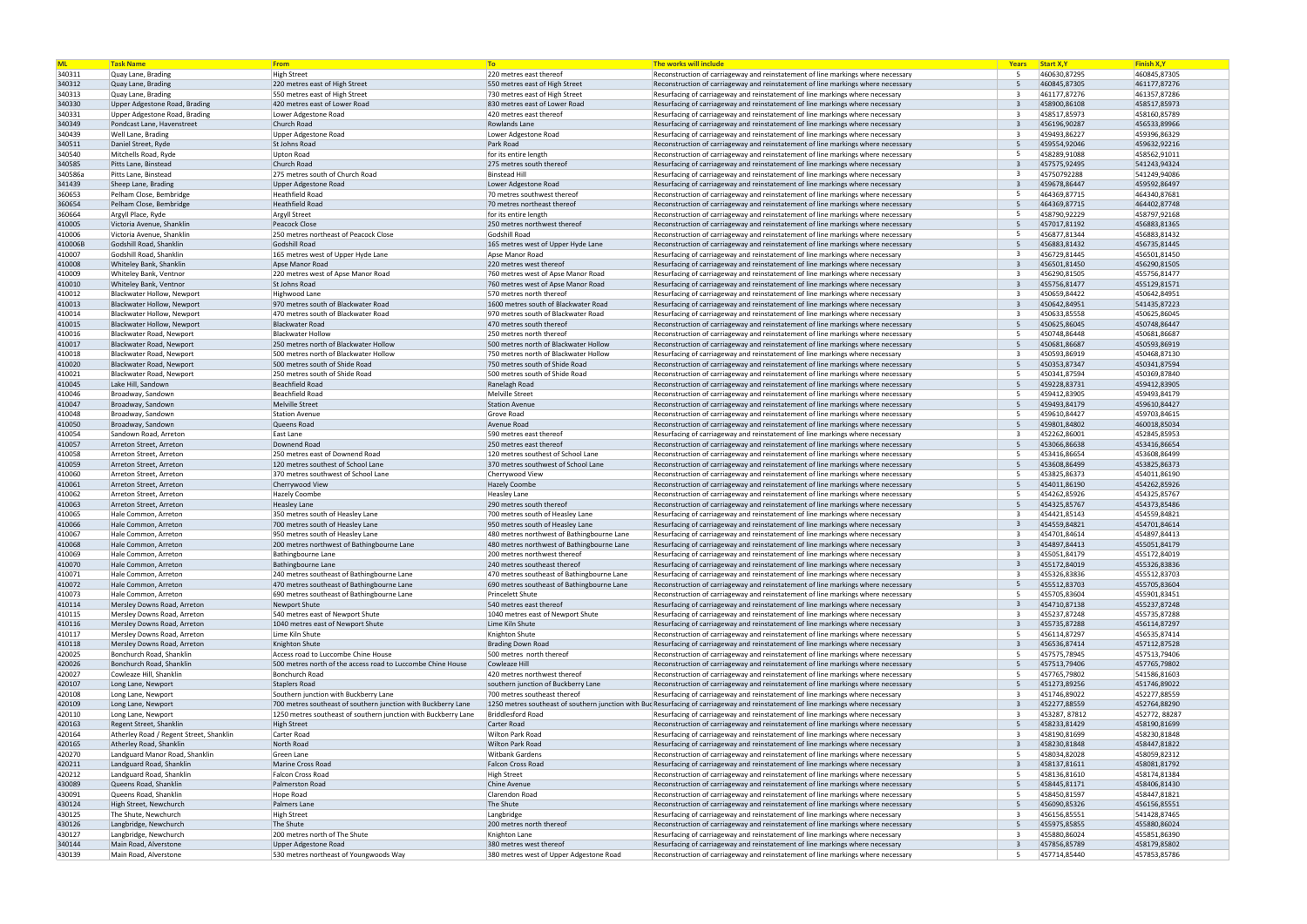| <b>ML</b> | <b>Task Name</b>                        | From                                                           | To:                                        | The works will include                                                                                                            | Years                   | <b>Start X, Y</b> | <b>Finish X,Y</b> |
|-----------|-----------------------------------------|----------------------------------------------------------------|--------------------------------------------|-----------------------------------------------------------------------------------------------------------------------------------|-------------------------|-------------------|-------------------|
| 340311    | Quay Lane, Brading                      | <b>High Street</b>                                             | 220 metres east thereof                    | Reconstruction of carriageway and reinstatement of line markings where necessary                                                  | -5                      | 460630,87295      | 460845,87305      |
| 340312    | Quay Lane, Brading                      | 220 metres east of High Street                                 | 550 metres east of High Street             | Reconstruction of carriageway and reinstatement of line markings where necessary                                                  | -5                      | 460845,87305      | 461177,87276      |
| 340313    | Quay Lane, Brading                      | 550 metres east of High Street                                 | 730 metres east of High Street             | Resurfacing of carriageway and reinstatement of line markings where necessary                                                     | $\mathbf{a}$            | 461177,87276      | 461357,87286      |
| 340330    | Upper Adgestone Road, Brading           | 420 metres east of Lower Road                                  | 830 metres east of Lower Road              | Resurfacing of carriageway and reinstatement of line markings where necessary                                                     | $\overline{3}$          | 458900,86108      | 458517,85973      |
| 340331    | Upper Adgestone Road, Brading           | Lower Adgestone Road                                           | 420 metres east thereof                    | Resurfacing of carriageway and reinstatement of line markings where necessary                                                     | $\mathbf{R}$            | 458517,85973      | 458160,85789      |
| 340349    | Pondcast Lane, Havenstreet              | Church Road                                                    | Rowlands Lane                              | Resurfacing of carriageway and reinstatement of line markings where necessary                                                     | $\overline{3}$          | 456196,90287      | 456533,89966      |
| 340439    | Well Lane, Brading                      | <b>Upper Adgestone Road</b>                                    | Lower Adgestone Road                       | Resurfacing of carriageway and reinstatement of line markings where necessary                                                     | -3                      | 459493,86227      | 459396,86329      |
| 340511    | Daniel Street, Ryde                     | St Johns Road                                                  | Park Road                                  | Reconstruction of carriageway and reinstatement of line markings where necessary                                                  | -5                      | 459554,92046      | 459632,92216      |
| 340540    | Mitchells Road, Ryde                    | <b>Upton Road</b>                                              | for its entire length                      | Reconstruction of carriageway and reinstatement of line markings where necessary                                                  | -5                      | 458289,91088      | 458562,91011      |
| 340585    | Pitts Lane, Binstead                    | Church Road                                                    | 275 metres south thereof                   | Resurfacing of carriageway and reinstatement of line markings where necessary                                                     | $\overline{3}$          | 457575,92495      | 541243,94324      |
| 340586a   | Pitts Lane, Binstead                    | 275 metres south of Church Road                                | <b>Binstead Hill</b>                       | Resurfacing of carriageway and reinstatement of line markings where necessary                                                     | -3                      | 45750792288       | 541249,94086      |
| 341439    | Sheep Lane, Brading                     | Upper Adgestone Road                                           | Lower Adgestone Road                       | Resurfacing of carriageway and reinstatement of line markings where necessary                                                     | $\overline{3}$          | 459678,86447      | 459592,86497      |
| 360653    | Pelham Close, Bembridge                 | <b>Heathfield Road</b>                                         | 70 metres southwest thereof                | Reconstruction of carriageway and reinstatement of line markings where necessary                                                  |                         | 464369,87715      | 464340,87681      |
| 360654    | Pelham Close, Bembridge                 | <b>Heathfield Road</b>                                         | 70 metres northeast thereof                |                                                                                                                                   | $5\overline{2}$         | 464369,87715      | 464402,87748      |
|           |                                         |                                                                |                                            | Reconstruction of carriageway and reinstatement of line markings where necessary                                                  |                         |                   |                   |
| 360664    | Argyll Place, Ryde                      | <b>Argyll Street</b>                                           | for its entire length                      | Reconstruction of carriageway and reinstatement of line markings where necessary                                                  | $5\overline{2}$         | 458790,92229      | 458797,92168      |
| 410005    | Victoria Avenue, Shanklin               | Peacock Close                                                  | 250 metres northwest thereof               | Reconstruction of carriageway and reinstatement of line markings where necessary                                                  |                         | 457017,81192      | 456883,81365      |
| 410006    | Victoria Avenue, Shanklin               | 250 metres northeast of Peacock Close                          | Godshill Road                              | Reconstruction of carriageway and reinstatement of line markings where necessary                                                  |                         | 456877,81344      | 456883,81432      |
| 410006B   | Godshill Road, Shanklin                 | Godshill Road                                                  | 165 metres west of Upper Hyde Lane         | Reconstruction of carriageway and reinstatement of line markings where necessary                                                  | 5                       | 456883,81432      | 456735,81445      |
| 410007    | Godshill Road, Shanklin                 | 165 metres west of Upper Hyde Lane                             | Apse Manor Road                            | Resurfacing of carriageway and reinstatement of line markings where necessary                                                     | -3                      | 456729,81445      | 456501,81450      |
| 410008    | Whiteley Bank, Shanklin                 | Apse Manor Road                                                | 220 metres west thereof                    | Resurfacing of carriageway and reinstatement of line markings where necessary                                                     | $\overline{3}$          | 456501,81450      | 456290,81505      |
| 410009    | Whiteley Bank, Ventnor                  | 220 metres west of Apse Manor Road                             | 760 metres west of Apse Manor Road         | Resurfacing of carriageway and reinstatement of line markings where necessary                                                     | -3                      | 456290,81505      | 455756,81477      |
| 410010    | Whiteley Bank, Ventnor                  | St Johns Road                                                  | 760 metres west of Apse Manor Road         | Resurfacing of carriageway and reinstatement of line markings where necessary                                                     | $\overline{3}$          | 455756,81477      | 455129,81571      |
| 410012    | Blackwater Hollow. Newport              | Highwood Lane                                                  | 570 metres north thereof                   | Resurfacing of carriageway and reinstatement of line markings where necessary                                                     | 3                       | 450659,84422      | 450642,84951      |
| 410013    | Blackwater Hollow, Newport              | 970 metres south of Blackwater Road                            | 1600 metres south of Blackwater Road       | Resurfacing of carriageway and reinstatement of line markings where necessary                                                     | $\overline{3}$          | 450642,84951      | 541435,87223      |
| 410014    | Blackwater Hollow, Newport              | 470 metres south of Blackwater Road                            | 970 metres south of Blackwater Road        | Resurfacing of carriageway and reinstatement of line markings where necessary                                                     | -3                      | 450633,85558      | 450625,86045      |
| 410015    | Blackwater Hollow, Newport              | <b>Blackwater Road</b>                                         | 470 metres south thereof                   | Reconstruction of carriageway and reinstatement of line markings where necessary                                                  | -5                      | 450625,86045      | 450748,86447      |
| 410016    | Blackwater Road, Newport                | <b>Blackwater Hollow</b>                                       | 250 metres north thereof                   | Reconstruction of carriageway and reinstatement of line markings where necessary                                                  | -5                      | 450748,86448      | 450681,86687      |
| 410017    | Blackwater Road, Newport                | 250 metres north of Blackwater Hollow                          | 500 metres north of Blackwater Hollow      | Reconstruction of carriageway and reinstatement of line markings where necessary                                                  | -5                      | 450681,86687      | 450593,86919      |
| 410018    | Blackwater Road, Newport                | 500 metres north of Blackwater Hollow                          | 750 metres north of Blackwater Hollow      | Resurfacing of carriageway and reinstatement of line markings where necessary                                                     | ્વ                      | 450593,86919      | 450468,87130      |
| 410020    | Blackwater Road, Newport                | 500 metres south of Shide Road                                 | 750 metres south of Shide Road             | Reconstruction of carriageway and reinstatement of line markings where necessary                                                  | $5\overline{2}$         | 450353,87347      | 450341,87594      |
| 410021    | Blackwater Road, Newport                | 250 metres south of Shide Road                                 | 500 metres south of Shide Road             | Reconstruction of carriageway and reinstatement of line markings where necessary                                                  | -5                      | 450341,87594      | 450369,87840      |
| 410045    | Lake Hill, Sandown                      | Beachfield Road                                                | Ranelagh Road                              | Reconstruction of carriageway and reinstatement of line markings where necessary                                                  | $5\overline{5}$         | 459228,83731      | 459412,83905      |
| 410046    | Broadway, Sandown                       | <b>Beachfield Road</b>                                         | Melville Street                            | Reconstruction of carriageway and reinstatement of line markings where necessary                                                  | -5                      | 459412,83905      | 459493,84179      |
| 410047    | Broadway, Sandown                       | <b>Melville Street</b>                                         | <b>Station Avenue</b>                      | Reconstruction of carriageway and reinstatement of line markings where necessary                                                  | -5                      | 459493,84179      | 459610,84427      |
| 410048    | Broadway, Sandown                       | Station Avenue                                                 | Grove Road                                 | Reconstruction of carriageway and reinstatement of line markings where necessary                                                  | -5                      | 459610,84427      | 459703,84615      |
| 410050    | Broadway, Sandown                       | Queens Road                                                    | Avenue Road                                | Reconstruction of carriageway and reinstatement of line markings where necessary                                                  | $5\overline{5}$         | 459801,84802      | 460018,85034      |
| 410054    | Sandown Road, Arreton                   | East Lane                                                      | 590 metres east thereof                    | Resurfacing of carriageway and reinstatement of line markings where necessary                                                     |                         | 452262,86001      | 452845,85953      |
| 410057    | Arreton Street, Arreton                 | Downend Road                                                   | 250 metres east thereof                    | Reconstruction of carriageway and reinstatement of line markings where necessary                                                  | -5                      | 453066,86638      | 453416,86654      |
| 410058    | Arreton Street, Arreton                 | 250 metres east of Downend Road                                | 120 metres southest of School Lane         |                                                                                                                                   | -5                      | 453416,86654      | 453608,86499      |
|           |                                         |                                                                |                                            | Reconstruction of carriageway and reinstatement of line markings where necessary                                                  | 5                       |                   | 453825,86373      |
| 410059    | Arreton Street, Arreton                 | 120 metres southest of School Lane                             | 370 metres southwest of School Lane        | Reconstruction of carriageway and reinstatement of line markings where necessary                                                  |                         | 453608,86499      |                   |
| 410060    | Arreton Street, Arreton                 | 370 metres southwest of School Lane                            | Cherrywood View                            | Reconstruction of carriageway and reinstatement of line markings where necessary                                                  | 5                       | 453825,86373      | 454011,86190      |
| 410061    | Arreton Street, Arreton                 | Cherrywood View                                                | <b>Hazely Coombe</b>                       | Reconstruction of carriageway and reinstatement of line markings where necessary                                                  |                         | 454011,86190      | 454262,85926      |
| 410062    | Arreton Street, Arreton                 | <b>Hazely Coombe</b>                                           | <b>Heasley Lane</b>                        | Reconstruction of carriageway and reinstatement of line markings where necessary                                                  | 5                       | 454262,85926      | 454325,85767      |
| 410063    | Arreton Street, Arreton                 | <b>Heasley Lane</b>                                            | 290 metres south thereof                   | Reconstruction of carriageway and reinstatement of line markings where necessary                                                  |                         | 454325.85767      | 454373,85486      |
| 410065    | Hale Common, Arreton                    | 350 metres south of Heasley Lane                               | 700 metres south of Heasley Lane           | Resurfacing of carriageway and reinstatement of line markings where necessary                                                     | -3                      | 454421,85143      | 454559,84821      |
| 410066    | Hale Common, Arreton                    | 700 metres south of Heasley Lane                               | 950 metres south of Heasley Lane           | Resurfacing of carriageway and reinstatement of line markings where necessary                                                     | $\overline{3}$          | 454559,84821      | 454701,84614      |
| 410067    | Hale Common, Arreton                    | 950 metres south of Heasley Lane                               | 480 metres northwest of Bathingbourne Lane | Resurfacing of carriageway and reinstatement of line markings where necessary                                                     | $\overline{\mathbf{3}}$ | 454701,84614      | 454897,84413      |
| 410068    | Hale Common, Arreton                    | 200 metres northwest of Bathingbourne Lane                     | 480 metres northwest of Bathingbourne Lane | Resurfacing of carriageway and reinstatement of line markings where necessary                                                     | $\overline{3}$          | 454897,84413      | 455051,84179      |
| 410069    | Hale Common, Arreton                    | <b>Bathingbourne Lane</b>                                      | 200 metres northwest thereof               | Resurfacing of carriageway and reinstatement of line markings where necessary                                                     | -3                      | 455051,84179      | 455172,84019      |
| 410070    | Hale Common, Arreton                    | <b>Bathingbourne Lane</b>                                      | 240 metres southeast thereof               | Resurfacing of carriageway and reinstatement of line markings where necessary                                                     | $\overline{3}$          | 455172,84019      | 455326,83836      |
| 410071    | Hale Common, Arreton                    | 240 metres southeast of Bathingbourne Lane                     | 470 metres southeast of Bathingbourne Lane | Resurfacing of carriageway and reinstatement of line markings where necessary                                                     | -3                      | 455326,83836      | 455512,83703      |
| 410072    | Hale Common, Arreton                    | 470 metres southeast of Bathingbourne Lane                     | 690 metres southeast of Bathingbourne Lane | Reconstruction of carriageway and reinstatement of line markings where necessary                                                  | 5                       | 455512,83703      | 455705,83604      |
| 410073    | Hale Common, Arreton                    | 690 metres southeast of Bathingbourne Lane                     | <b>Princelett Shute</b>                    | Reconstruction of carriageway and reinstatement of line markings where necessary                                                  | -5                      | 455705,83604      | 455901,83451      |
| 410114    | Mersley Downs Road, Arreton             | <b>Newport Shute</b>                                           | 540 metres east thereof                    | Resurfacing of carriageway and reinstatement of line markings where necessary                                                     | $\overline{3}$          | 454710,87138      | 455237,87248      |
| 410115    | Mersley Downs Road, Arreton             | 540 metres east of Newport Shute                               | 1040 metres east of Newport Shute          | Resurfacing of carriageway and reinstatement of line markings where necessary                                                     |                         | 455237,87248      | 455735,87288      |
| 410116    | Mersley Downs Road, Arreton             | 1040 metres east of Newport Shute                              | Lime Kiln Shute                            | Resurfacing of carriageway and reinstatement of line markings where necessary                                                     | $\overline{3}$          | 455735,87288      | 456114,87297      |
| 410117    | Mersley Downs Road, Arreton             | Lime Kiln Shute                                                | Knighton Shute                             | Reconstruction of carriageway and reinstatement of line markings where necessary                                                  | -5                      | 456114,87297      | 456535,87414      |
| 410118    | Mersley Downs Road, Arreton             | Knighton Shute                                                 | <b>Brading Down Road</b>                   | Resurfacing of carriageway and reinstatement of line markings where necessary                                                     | -3                      | 456536,87414      | 457112,87528      |
| 420025    | Bonchurch Road, Shanklin                | Access road to Luccombe Chine House                            | 500 metres north thereof                   | Reconstruction of carriageway and reinstatement of line markings where necessary                                                  | .5                      | 457575,78945      | 457513,79406      |
| 420026    | Bonchurch Road, Shanklin                | 500 metres north of the access road to Luccombe Chine House    | Cowleaze Hill                              | Reconstruction of carriageway and reinstatement of line markings where necessary                                                  | 5                       | 457513,79406      | 457765,79802      |
| 420027    | Cowleaze Hill, Shanklin                 | Bonchurch Road                                                 | 420 metres northwest thereof               | Reconstruction of carriageway and reinstatement of line markings where necessary                                                  | -5                      | 457765,79802      | 541586,81603      |
| 420107    | Long Lane, Newport                      | <b>Staplers Road</b>                                           | southern junction of Buckberry Lane        | Reconstruction of carriageway and reinstatement of line markings where necessary                                                  | 5                       | 451273,89256      | 451746,89022      |
| 420108    | Long Lane, Newport                      | Southern junction with Buckberry Lane                          | 700 metres southeast thereof               | Resurfacing of carriageway and reinstatement of line markings where necessary                                                     | -3                      | 451746,89022      | 452277,88559      |
| 420109    | Long Lane, Newport                      | 700 metres southeast of southern junction with Buckberry Lane  |                                            | 1250 metres southeast of southern junction with Bud Resurfacing of carriageway and reinstatement of line markings where necessary | 3                       | 452277,88559      | 452764,88290      |
| 420110    | Long Lane, Newport                      | 1250 metres southeast of southern junction with Buckberry Lane | <b>Briddlesford Road</b>                   | Resurfacing of carriageway and reinstatement of line markings where necessary                                                     | -3                      | 453287, 87812     | 452772, 88287     |
| 420163    | Regent Street, Shanklin                 | <b>High Street</b>                                             | <b>Carter Road</b>                         | Reconstruction of carriageway and reinstatement of line markings where necessary                                                  | 5                       | 458233,81429      | 458190,81699      |
| 420164    | Atherley Road / Regent Street, Shanklin | Carter Road                                                    | Wilton Park Road                           | Resurfacing of carriageway and reinstatement of line markings where necessary                                                     |                         | 458190,81699      | 458230,81848      |
|           |                                         | North Road                                                     | <b>Wilton Park Road</b>                    |                                                                                                                                   | $\overline{3}$          | 458230,81848      | 458447,81822      |
| 420165    | Atherley Road, Shanklin                 |                                                                |                                            | Resurfacing of carriageway and reinstatement of line markings where necessary                                                     | -5                      |                   |                   |
| 420270    | Landguard Manor Road, Shanklin          | Green Lane                                                     | Witbank Gardens                            | Reconstruction of carriageway and reinstatement of line markings where necessary                                                  |                         | 458034,82028      | 458059,82312      |
| 420211    | Landguard Road, Shanklin                | Marine Cross Road                                              | <b>Falcon Cross Road</b>                   | Resurfacing of carriageway and reinstatement of line markings where necessary                                                     | $\overline{3}$          | 458137,81611      | 458081,81792      |
| 420212    | Landguard Road, Shanklin                | <b>Falcon Cross Road</b>                                       | <b>High Street</b>                         | Reconstruction of carriageway and reinstatement of line markings where necessary                                                  | -5                      | 458136,81610      | 458174,81384      |
| 430089    | Queens Road, Shanklin                   | <b>Palmerston Road</b>                                         | Chine Avenue                               | Reconstruction of carriageway and reinstatement of line markings where necessary                                                  | -5                      | 458445,81171      | 458406,81430      |
| 430091    | Queens Road, Shanklin                   | Hope Road                                                      | Clarendon Road                             | Reconstruction of carriageway and reinstatement of line markings where necessary                                                  | -5                      | 458450,81597      | 458447,81821      |
| 430124    | High Street, Newchurch                  | Palmers Lane                                                   | The Shute                                  | Reconstruction of carriageway and reinstatement of line markings where necessary                                                  | -5                      | 456090,85326      | 456156,85551      |
| 430125    | The Shute, Newchurch                    | <b>High Street</b>                                             | Langbridge                                 | Resurfacing of carriageway and reinstatement of line markings where necessary                                                     | -3                      | 456156,85551      | 541428,87465      |
| 430126    | Langbridge, Newchurch                   | The Shute                                                      | 200 metres north thereof                   | Reconstruction of carriageway and reinstatement of line markings where necessary                                                  | 5                       | 455975,85855      | 455880,86024      |
| 430127    | Langbridge, Newchurch                   | 200 metres north of The Shute                                  | Knighton Lane                              | Resurfacing of carriageway and reinstatement of line markings where necessary                                                     | -3                      | 455880,86024      | 455851,86390      |
| 340144    | Main Road, Alverstone                   | Upper Adgestone Road                                           | 380 metres west thereof                    | Resurfacing of carriageway and reinstatement of line markings where necessary                                                     | $\overline{3}$          | 457856,85789      | 458179,85802      |
| 430139    | Main Road, Alverstone                   | 530 metres northeast of Youngwoods Way                         | 380 metres west of Upper Adgestone Road    | Reconstruction of carriageway and reinstatement of line markings where necessary                                                  | .5                      | 457714,85440      | 457853,85786      |

| <b>Years</b> | <b>Start X, Y</b>            | <b>Finish X,Y</b>            |
|--------------|------------------------------|------------------------------|
| 5            | 460630,87295                 | 460845,87305                 |
| 5            | 460845,87305                 | 461177,87276                 |
| 3            | 461177,87276                 | 461357,87286                 |
| 3            | 458900,86108                 | 458517,85973                 |
| 3            | 458517,85973                 | 458160,85789                 |
| 3            | 456196,90287                 | 456533,89966                 |
| 3            | 459493,86227                 | 459396,86329                 |
| 5            | 459554,92046                 | 459632,92216                 |
| 5            | 458289,91088                 | 458562,91011                 |
| 3            | 457575,92495<br>45750792288  | 541243,94324<br>541249,94086 |
| 3<br>3       |                              |                              |
| 5            | 459678,86447<br>464369,87715 | 459592,86497<br>464340,87681 |
| 5            | 464369,87715                 | 464402,87748                 |
| 5            | 458790,92229                 | 458797,92168                 |
| 5            | 457017,81192                 | 456883,81365                 |
| 5            | 456877,81344                 | 456883,81432                 |
| 5            | 456883,81432                 | 456735,81445                 |
| 3            | 456729,81445                 | 456501,81450                 |
| 3            | 456501,81450                 | 456290,81505                 |
| 3            | 456290,81505                 | 455756,81477                 |
| 3            | 455756,81477                 | 455129,81571                 |
| 3            | 450659,84422                 | 450642,84951                 |
| 3            | 450642,84951                 | 541435,87223                 |
| 3            | 450633,85558                 | 450625,86045                 |
| 5            | 450625,86045                 | 450748,86447                 |
| 5            | 450748,86448                 | 450681,86687                 |
| 5            | 450681,86687                 | 450593,86919                 |
| 3            | 450593,86919                 | 450468,87130                 |
| 5            | 450353,87347                 | 450341,87594                 |
| 5            | 450341,87594                 | 450369,87840                 |
| 5            | 459228,83731                 | 459412,83905                 |
| 5            | 459412,83905                 | 459493,84179                 |
| 5            | 459493,84179                 | 459610,84427                 |
| 5            | 459610,84427                 | 459703,84615                 |
| 5            | 459801,84802                 | 460018,85034                 |
| 3            | 452262,86001                 | 452845,85953                 |
| 5            | 453066,86638                 | 453416,86654                 |
| 5            | 453416,86654                 | 453608,86499                 |
| 5<br>5       | 453608,86499                 | 453825,86373                 |
| 5            | 453825,86373<br>454011,86190 | 454011,86190<br>454262,85926 |
| 5            | 454262,85926                 | 454325,85767                 |
| 5            | 454325,85767                 | 454373,85486                 |
| 3            | 454421,85143                 | 454559,84821                 |
| 3            | 454559,84821                 | 454701,84614                 |
| 3            | 454701,84614                 | 454897,84413                 |
| 3            | 454897,84413                 | 455051,84179                 |
| 3            | 455051,84179                 | 455172,84019                 |
| 3            | 455172,84019                 | 455326,83836                 |
| 3            | 455326,83836                 | 455512,83703                 |
| 5            | 455512,83703                 | 455705,83604                 |
| 5            | 455705,83604                 | 455901,83451                 |
| 3            | 454710,87138                 | 455237,87248                 |
| 3            | 455237,87248                 | 455735,87288                 |
| 3            | 455735,87288                 | 456114,87297                 |
| 5            | 456114,87297                 | 456535,87414                 |
| 3            | 456536,87414                 | 457112,87528                 |
| 5            | 457575,78945                 | 457513,79406                 |
| 5            | 457513,79406                 | 457765,79802                 |
| 5            | 457765,79802                 | 541586,81603                 |
| 5            | 451273,89256                 | 451746,89022                 |
| 3            | 451746,89022                 | 452277,88559                 |
| 3            | 452277,88559                 | 452764,88290                 |
| 3            | 453287, 87812                | 452772, 88287                |
| 5            | 458233,81429                 | 458190,81699                 |
| 3            | 458190,81699                 | 458230,81848                 |
| 3            | 458230,81848                 | 458447,81822                 |
| 5<br>3       | 458034,82028                 | 458059,82312                 |
| 5            | 458137,81611<br>458136,81610 | 458081,81792<br>458174,81384 |
| 5            | 458445,81171                 | 458406,81430                 |
| 5            | 458450,81597                 | 458447,81821                 |
| 5            | 456090,85326                 | 456156,85551                 |
| 3            | 456156,85551                 | 541428,87465                 |
| 5            | 455975,85855                 | 455880,86024                 |
| 3            | 455880,86024                 | 455851,86390                 |
| 3            | 457856,85789                 | 458179,85802                 |
| 5            | 457714,85440                 | 457853,85786                 |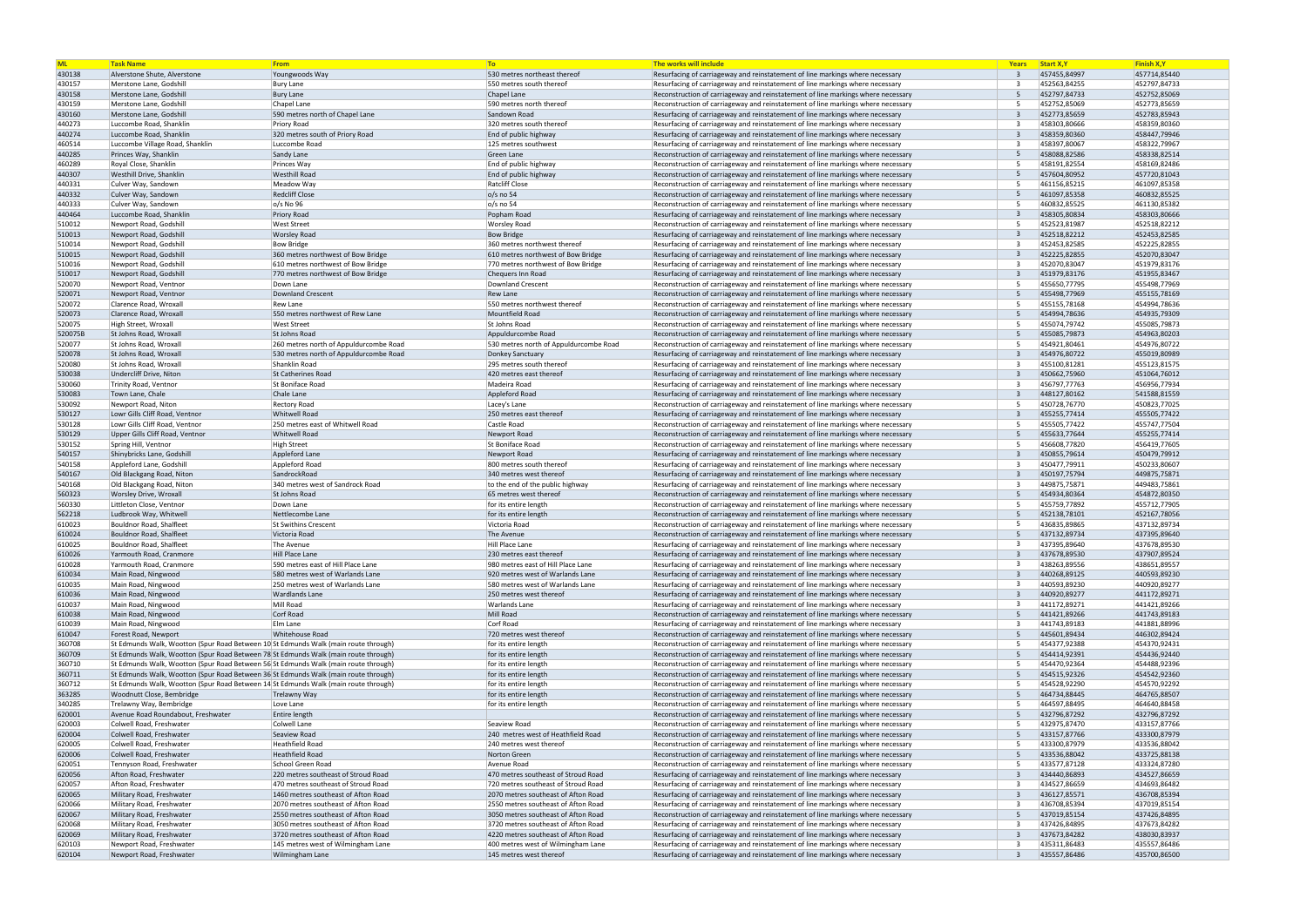| <b>ML</b>        | <b>Task Name</b>                                                                    | From                                             | <b>To</b>                                                   | The works will include                                                                                                                                         | Years          | Start X, Y                   | <b>Finish X,Y</b> |
|------------------|-------------------------------------------------------------------------------------|--------------------------------------------------|-------------------------------------------------------------|----------------------------------------------------------------------------------------------------------------------------------------------------------------|----------------|------------------------------|-------------------|
| 430138           | Alverstone Shute, Alverstone                                                        | Youngwoods Way                                   | 530 metres northeast thereof                                | Resurfacing of carriageway and reinstatement of line markings where necessary                                                                                  | $\overline{3}$ | 457455,84997                 | 457714,85440      |
| 430157           | Merstone Lane, Godshill                                                             | <b>Bury Lane</b>                                 | 550 metres south thereof                                    | Resurfacing of carriageway and reinstatement of line markings where necessary                                                                                  | $\mathbf{R}$   | 452563,84255                 | 452797,84733      |
| 430158           | Merstone Lane, Godshill                                                             | <b>Bury Lane</b>                                 | Chapel Lane                                                 | Reconstruction of carriageway and reinstatement of line markings where necessary                                                                               | 5              | 452797,84733                 | 452752,85069      |
| 430159           | Merstone Lane, Godshill                                                             | Chapel Lane                                      | 590 metres north thereof                                    | Reconstruction of carriageway and reinstatement of line markings where necessary                                                                               | -5             | 452752,85069                 | 452773,85659      |
| 430160           | Merstone Lane, Godshill                                                             | 590 metres north of Chapel Lane                  | Sandown Road                                                | Resurfacing of carriageway and reinstatement of line markings where necessary                                                                                  | $\overline{3}$ | 452773,85659                 | 452783,85943      |
| 440273           | Luccombe Road, Shanklin                                                             | Priory Road                                      | 320 metres south thereof                                    | Resurfacing of carriageway and reinstatement of line markings where necessary                                                                                  | $\mathbf{R}$   | 458303,80666                 | 458359,80360      |
| 440274           | Luccombe Road, Shanklin                                                             | 320 metres south of Priory Road                  | End of public highway                                       | Resurfacing of carriageway and reinstatement of line markings where necessary                                                                                  | $\mathbf{R}$   | 458359,80360                 | 458447,79946      |
| 460514           | Luccombe Village Road, Shanklin                                                     | Luccombe Road                                    | 125 metres southwest                                        | Resurfacing of carriageway and reinstatement of line markings where necessary                                                                                  | $\mathbf{R}$   | 458397,80067                 | 458322,79967      |
| 440285           | Princes Way, Shanklin                                                               | Sandy Lane                                       | Green Lane                                                  | Reconstruction of carriageway and reinstatement of line markings where necessary                                                                               | -5             | 458088,82586                 | 458338,82514      |
| 460289           | Royal Close, Shanklin                                                               | Princes Way                                      | End of public highway                                       | Reconstruction of carriageway and reinstatement of line markings where necessary                                                                               | -5             | 458191,82554                 | 458169,82486      |
| 440307           | <b>Westhill Drive, Shanklin</b>                                                     | <b>Westhill Road</b>                             | End of public highway                                       | Reconstruction of carriageway and reinstatement of line markings where necessary                                                                               | -5             | 457604,80952                 | 457720,81043      |
| 440331           | Culver Way, Sandown                                                                 | Meadow Way                                       | <b>Ratcliff Close</b>                                       | Reconstruction of carriageway and reinstatement of line markings where necessary                                                                               | -5             | 461156,85215                 | 461097,85358      |
| 440332           | Culver Way, Sandown                                                                 | <b>Redcliff Close</b>                            | $o/s$ no 54                                                 | Reconstruction of carriageway and reinstatement of line markings where necessary                                                                               | -5             | 461097,85358                 | 460832,85525      |
| 440333           | Culver Way, Sandown                                                                 | o/s No 96                                        | o/s no 54                                                   | Reconstruction of carriageway and reinstatement of line markings where necessary                                                                               | -5             | 460832,85525                 | 461130,85382      |
| 440464           | Luccombe Road, Shanklin                                                             | <b>Priory Road</b>                               | Popham Road                                                 | Resurfacing of carriageway and reinstatement of line markings where necessary                                                                                  | -3             | 458305,80834                 | 458303,80666      |
| 510012           | Newport Road, Godshill                                                              | <b>West Street</b>                               | <b>Worsley Road</b>                                         | Reconstruction of carriageway and reinstatement of line markings where necessary                                                                               | -5             | 452523,81987                 | 452518,82212      |
| 510013           | Newport Road, Godshill                                                              | <b>Worsley Road</b>                              | <b>Bow Bridge</b>                                           | Resurfacing of carriageway and reinstatement of line markings where necessary                                                                                  | -3             | 452518,82212                 | 452453,82585      |
| 510014           | Newport Road, Godshill                                                              | <b>Bow Bridge</b>                                | 360 metres northwest thereof                                | Resurfacing of carriageway and reinstatement of line markings where necessary                                                                                  | $\mathbf{R}$   | 452453,82585                 | 452225,82855      |
| 510015           | Newport Road, Godshill                                                              | 360 metres northwest of Bow Bridge               | 610 metres northwest of Bow Bridge                          | Resurfacing of carriageway and reinstatement of line markings where necessary                                                                                  | $\mathbf{R}$   | 452225,82855                 | 452070,83047      |
| 510016           | Newport Road, Godshill                                                              | 610 metres northwest of Bow Bridge               | 770 metres northwest of Bow Bridge                          | Resurfacing of carriageway and reinstatement of line markings where necessary                                                                                  | $\mathbf{R}$   | 452070,83047                 | 451979,83176      |
| 510017           | Newport Road, Godshill                                                              | 770 metres northwest of Bow Bridge               | Chequers Inn Road                                           | Resurfacing of carriageway and reinstatement of line markings where necessary                                                                                  | $\overline{3}$ | 451979,83176                 | 451955,83467      |
| 520070           | Newport Road, Ventnor                                                               | Down Lane                                        | Downland Crescent                                           | Reconstruction of carriageway and reinstatement of line markings where necessary                                                                               | -5             | 455650,77795                 | 455498,77969      |
| 520071           | Newport Road, Ventnor                                                               | Downland Crescent                                | Rew Lane                                                    | Reconstruction of carriageway and reinstatement of line markings where necessary                                                                               | -5             | 455498,77969                 | 455155,78169      |
| 520072           | Clarence Road. Wroxall                                                              | <b>Rew Lane</b>                                  | 550 metres northwest thereof                                | Reconstruction of carriageway and reinstatement of line markings where necessary                                                                               | -5             | 455155,78168                 | 454994,78636      |
| 520073           | Clarence Road, Wroxall                                                              | 550 metres northwest of Rew Lane                 | Mountfield Road                                             | Reconstruction of carriageway and reinstatement of line markings where necessary                                                                               | 5              | 454994,78636                 | 454935,79309      |
| 520075           | High Street, Wroxall                                                                | <b>West Street</b>                               | St Johns Road                                               | Reconstruction of carriageway and reinstatement of line markings where necessary                                                                               | -5             | 455074,79742                 | 455085,79873      |
| 520075B          | St Johns Road, Wroxall                                                              | St Johns Road                                    | Appuldurcombe Road                                          | Reconstruction of carriageway and reinstatement of line markings where necessary                                                                               | -5             | 455085,79873                 | 454963,80203      |
| 520077           | St Johns Road, Wroxall                                                              | 260 metres north of Appuldurcombe Road           | 530 metres north of Appuldurcombe Road                      | Reconstruction of carriageway and reinstatement of line markings where necessary                                                                               | -5             | 454921,80461                 | 454976,80722      |
| 520078           | St Johns Road, Wroxall                                                              | 530 metres north of Appuldurcombe Road           | Donkey Sanctuary                                            | Resurfacing of carriageway and reinstatement of line markings where necessary                                                                                  | $\overline{3}$ | 454976,80722                 | 455019,80989      |
| 520080           | St Johns Road, Wroxall                                                              | Shanklin Road                                    | 295 metres south thereof                                    | Resurfacing of carriageway and reinstatement of line markings where necessary                                                                                  | $\mathbf{R}$   | 455100,81281                 | 455123,81575      |
| 530038           | Undercliff Drive, Niton                                                             | <b>St Catherines Road</b>                        | 420 metres east thereof                                     | Resurfacing of carriageway and reinstatement of line markings where necessary                                                                                  | $\overline{3}$ | 450662,75960                 | 451064,76012      |
| 530060           | Trinity Road, Ventnor                                                               | St Boniface Road                                 | Madeira Road                                                | Resurfacing of carriageway and reinstatement of line markings where necessary                                                                                  | $\mathbf{R}$   | 456797,77763                 | 456956,77934      |
| 530083           | Town Lane, Chale                                                                    | Chale Lane                                       | Appleford Road                                              | Resurfacing of carriageway and reinstatement of line markings where necessary                                                                                  | $\overline{3}$ | 448127,80162                 | 541588,81559      |
| 530092           | Newport Road, Niton                                                                 | <b>Rectory Road</b>                              | Lacey's Lane                                                | Reconstruction of carriageway and reinstatement of line markings where necessary                                                                               | -5             | 450728,76770                 | 450823,77025      |
| 530127           | Lowr Gills Cliff Road, Ventnor                                                      | <b>Whitwell Road</b>                             | 250 metres east thereof                                     | Resurfacing of carriageway and reinstatement of line markings where necessary                                                                                  | $\overline{3}$ | 455255,77414                 | 455505,77422      |
| 530128           | Lowr Gills Cliff Road, Ventnor                                                      | 250 metres east of Whitwell Road                 | Castle Road                                                 | Reconstruction of carriageway and reinstatement of line markings where necessary                                                                               | -5             | 455505,77422                 | 455747,77504      |
| 530129           | Upper Gills Cliff Road, Ventnor                                                     | <b>Whitwell Road</b>                             |                                                             |                                                                                                                                                                | -5             | 455633,77644                 | 455255,77414      |
| 530152           |                                                                                     |                                                  | Newport Road<br>St Boniface Road                            | Reconstruction of carriageway and reinstatement of line markings where necessary                                                                               | -5             | 456608,77820                 | 456419,77605      |
| 540157           | Spring Hill, Ventnor<br>Shinybricks Lane, Godshill                                  | High Street<br>Appleford Lane                    | Newport Road                                                | Reconstruction of carriageway and reinstatement of line markings where necessary                                                                               | $\overline{3}$ | 450855,79614                 | 450479,79912      |
|                  |                                                                                     |                                                  |                                                             | Resurfacing of carriageway and reinstatement of line markings where necessary                                                                                  |                |                              | 450233,80607      |
| 540158           | Appleford Lane, Godshill                                                            | Appleford Road                                   | 800 metres south thereof                                    | Resurfacing of carriageway and reinstatement of line markings where necessary                                                                                  | $\overline{3}$ | 450477,79911                 | 449875,75871      |
| 540167<br>540168 | Old Blackgang Road, Niton<br>Old Blackgang Road, Niton                              | SandrockRoad<br>340 metres west of Sandrock Road | 340 metres west thereof<br>to the end of the public highway | Resurfacing of carriageway and reinstatement of line markings where necessary<br>Resurfacing of carriageway and reinstatement of line markings where necessary |                | 450197,75794<br>449875,75871 | 449483,75861      |
|                  |                                                                                     |                                                  |                                                             |                                                                                                                                                                | -5             |                              | 454872,80350      |
| 560323           | <b>Worsley Drive, Wroxall</b>                                                       | St Johns Road                                    | 65 metres west thereof                                      | Reconstruction of carriageway and reinstatement of line markings where necessary                                                                               |                | 454934,80364                 |                   |
| 560330           | Littleton Close, Ventnor                                                            | Down Lane                                        | for its entire length                                       | Reconstruction of carriageway and reinstatement of line markings where necessary                                                                               | -5<br>-5       | 455759,77892                 | 455712,77905      |
| 562218           | Ludbrook Way, Whitwell                                                              | Nettlecombe Lane                                 | for its entire length                                       | Reconstruction of carriageway and reinstatement of line markings where necessary                                                                               |                | 452138,78101                 | 452167,78056      |
| 610023           | Bouldnor Road, Shalfleet                                                            | <b>St Swithins Crescent</b>                      | Victoria Road                                               | Reconstruction of carriageway and reinstatement of line markings where necessary                                                                               | -5             | 436835,89865                 | 437132,89734      |
| 610024           | Bouldnor Road, Shalfleet                                                            | Victoria Road                                    | The Avenue                                                  | Reconstruction of carriageway and reinstatement of line markings where necessary                                                                               | 5              | 437132,89734<br>437395.89640 | 437395,89640      |
| 610025           | Bouldnor Road, Shalfleet                                                            | The Avenue                                       | Hill Place Lane                                             | Resurfacing of carriageway and reinstatement of line markings where necessary                                                                                  | $\overline{3}$ |                              | 437678,89530      |
| 610026           | Yarmouth Road, Cranmore                                                             | Hill Place Lane                                  | 230 metres east thereof                                     | Resurfacing of carriageway and reinstatement of line markings where necessary                                                                                  | -3             | 437678,89530                 | 437907,89524      |
| 610028           | Yarmouth Road, Cranmore                                                             | 590 metres east of Hill Place Lane               | 980 metres east of Hill Place Lane                          | Resurfacing of carriageway and reinstatement of line markings where necessary                                                                                  | $\overline{3}$ | 438263,89556                 | 438651,89557      |
| 610034           | Main Road, Ningwood                                                                 | 580 metres west of Warlands Lane                 | 920 metres west of Warlands Lane                            | Resurfacing of carriageway and reinstatement of line markings where necessary                                                                                  | $\overline{3}$ | 440268,89125                 | 440593,89230      |
| 610035           | Main Road, Ningwood                                                                 | 250 metres west of Warlands Lane                 | 580 metres west of Warlands Lane                            | Resurfacing of carriageway and reinstatement of line markings where necessary                                                                                  | -3             | 440593,89230                 | 440920,89277      |
| 610036           | Main Road, Ningwood                                                                 | <b>Wardlands Lane</b>                            | 250 metres west thereof                                     | Resurfacing of carriageway and reinstatement of line markings where necessary                                                                                  | $\overline{3}$ | 440920,89277                 | 441172,89271      |
| 610037           | Main Road, Ningwood                                                                 | Mill Road                                        | <b>Warlands Lane</b>                                        | Resurfacing of carriageway and reinstatement of line markings where necessary                                                                                  | $\mathbf{R}$   | 441172,89271                 | 441421,89266      |
| 610038           | Main Road, Ningwood                                                                 | Corf Road                                        | Mill Road                                                   | Reconstruction of carriageway and reinstatement of line markings where necessary                                                                               | -5             | 441421,89266                 | 441743,89183      |
| 610039           | Main Road, Ningwood                                                                 | Elm Lane                                         | Corf Road                                                   | Resurfacing of carriageway and reinstatement of line markings where necessary                                                                                  | ્વ             | 441743,89183                 | 441881,88996      |
| 610047           | Forest Road, Newport                                                                | Whitehouse Road                                  | 720 metres west thereof                                     | Reconstruction of carriageway and reinstatement of line markings where necessary                                                                               | -5             | 445601,89434                 | 446302,89424      |
| 360708           | St Edmunds Walk, Wootton (Spur Road Between 10 St Edmunds Walk (main route through) |                                                  | for its entire length                                       | Reconstruction of carriageway and reinstatement of line markings where necessary                                                                               | -5             | 454377,92388                 | 454370,92431      |
| 360709           | St Edmunds Walk, Wootton (Spur Road Between 78 St Edmunds Walk (main route through) |                                                  | for its entire length                                       | Reconstruction of carriageway and reinstatement of line markings where necessary                                                                               | -5             | 454414,92391                 | 454436,92440      |
| 360710           | St Edmunds Walk, Wootton (Spur Road Between 56 St Edmunds Walk (main route through) |                                                  | for its entire length                                       | Reconstruction of carriageway and reinstatement of line markings where necessary                                                                               | -5             | 454470,92364                 | 454488,92396      |
| 360711           | St Edmunds Walk, Wootton (Spur Road Between 36 St Edmunds Walk (main route through) |                                                  | for its entire length                                       | Reconstruction of carriageway and reinstatement of line markings where necessary                                                                               | -5             | 454515,92326                 | 454542,92360      |
| 360712           | St Edmunds Walk, Wootton (Spur Road Between 14 St Edmunds Walk (main route through) |                                                  | for its entire length                                       | Reconstruction of carriageway and reinstatement of line markings where necessary                                                                               | -5             | 454528,92290                 | 454570,92292      |
| 363285           | Woodnutt Close, Bembridge                                                           | <b>Trelawny Way</b>                              | for its entire length                                       | Reconstruction of carriageway and reinstatement of line markings where necessary                                                                               | -5             | 464734,88445                 | 464765,88507      |
| 340285           | Trelawny Way, Bembridge                                                             | Love Lane                                        | for its entire length                                       | Reconstruction of carriageway and reinstatement of line markings where necessary                                                                               | -5             | 464597,88495                 | 464640,88458      |
| 620001           | Avenue Road Roundabout, Freshwater                                                  | Entire length                                    |                                                             | Reconstruction of carriageway and reinstatement of line markings where necessary                                                                               | -5             | 432796,87292                 | 432796,87292      |
| 620003           | Colwell Road, Freshwater                                                            | Colwell Lane                                     | Seaview Road                                                | Reconstruction of carriageway and reinstatement of line markings where necessary                                                                               | -5             | 432975,87470                 | 433157,87766      |
| 620004           | Colwell Road, Freshwater                                                            | Seaview Road                                     | 240 metres west of Heathfield Road                          | Reconstruction of carriageway and reinstatement of line markings where necessary                                                                               |                | 433157,87766                 | 433300,87979      |
| 620005           | Colwell Road, Freshwater                                                            | Heathfield Road                                  | 240 metres west thereof                                     | Reconstruction of carriageway and reinstatement of line markings where necessary                                                                               |                | 433300,87979                 | 433536,88042      |
| 620006           | Colwell Road, Freshwater                                                            | Heathfield Road                                  | Norton Green                                                | Reconstruction of carriageway and reinstatement of line markings where necessary                                                                               | -5             | 433536,88042                 | 433725,88138      |
| 620051           | Tennyson Road, Freshwater                                                           | School Green Road                                | Avenue Road                                                 | Reconstruction of carriageway and reinstatement of line markings where necessary                                                                               | -5             | 433577,87128                 | 433324,87280      |
| 620056           | Afton Road, Freshwater                                                              | 220 metres southeast of Stroud Road              | 470 metres southeast of Stroud Road                         | Resurfacing of carriageway and reinstatement of line markings where necessary                                                                                  | $\overline{3}$ | 434440,86893                 | 434527,86659      |
| 620057           | Afton Road, Freshwater                                                              | 470 metres southeast of Stroud Road              | 720 metres southeast of Stroud Road                         | Resurfacing of carriageway and reinstatement of line markings where necessary                                                                                  | $\mathbf{R}$   | 434527,86659                 | 434693,86482      |
| 620065           | Military Road, Freshwater                                                           | 1460 metres southeast of Afton Road              | 2070 metres southeast of Afton Road                         | Resurfacing of carriageway and reinstatement of line markings where necessary                                                                                  | $\overline{3}$ | 436127,85571                 | 436708,85394      |
| 620066           | Military Road, Freshwater                                                           | 2070 metres southeast of Afton Road              | 2550 metres southeast of Afton Road                         | Resurfacing of carriageway and reinstatement of line markings where necessary                                                                                  | $\mathbf{R}$   | 436708,85394                 | 437019,85154      |
| 620067           | Military Road, Freshwater                                                           | 2550 metres southeast of Afton Road              | 3050 metres southeast of Afton Road                         | Reconstruction of carriageway and reinstatement of line markings where necessary                                                                               | -5             | 437019,85154                 | 437426,84895      |
| 620068           | Military Road, Freshwater                                                           | 3050 metres southeast of Afton Road              | 3720 metres southeast of Afton Road                         | Resurfacing of carriageway and reinstatement of line markings where necessary                                                                                  | $\mathbf{R}$   | 437426,84895                 | 437673,84282      |
| 620069           | Military Road, Freshwater                                                           | 3720 metres southeast of Afton Road              | 4220 metres southeast of Afton Road                         | Resurfacing of carriageway and reinstatement of line markings where necessary                                                                                  | $\overline{3}$ | 437673,84282                 | 438030,83937      |
| 620103           | Newport Road, Freshwater                                                            | 145 metres west of Wilmingham Lane               | 400 metres west of Wilmingham Lane                          | Resurfacing of carriageway and reinstatement of line markings where necessary                                                                                  | $\mathbf{R}$   | 435311,86483                 | 435557,86486      |
| 620104           | Newport Road, Freshwater                                                            | Wilmingham Lane                                  | 145 metres west thereof                                     | Resurfacing of carriageway and reinstatement of line markings where necessary                                                                                  | $\overline{3}$ | 435557,86486                 | 435700,86500      |

| Years | <b>Start X, Y</b> | <b>Finish X,Y</b> |
|-------|-------------------|-------------------|
| 3     | 457455,84997      | 457714,85440      |
| 3     | 452563,84255      | 452797,84733      |
| 5     | 452797,84733      | 452752,85069      |
| 5     | 452752,85069      | 452773,85659      |
| 3     | 452773,85659      | 452783,85943      |
| 3     | 458303,80666      | 458359,80360      |
| 3     | 458359,80360      | 458447,79946      |
| 3     | 458397,80067      | 458322,79967      |
| 5     | 458088,82586      | 458338,82514      |
| 5     | 458191,82554      | 458169,82486      |
| 5     | 457604,80952      | 457720,81043      |
| 5     | 461156,85215      | 461097,85358      |
| 5     | 461097,85358      | 460832,85525      |
| 5     | 460832,85525      | 461130,85382      |
| 3     |                   |                   |
|       | 458305,80834      | 458303,80666      |
| 5     | 452523,81987      | 452518,82212      |
| 3     | 452518,82212      | 452453,82585      |
| 3     | 452453,82585      | 452225,82855      |
| 3     | 452225,82855      | 452070,83047      |
| 3     | 452070,83047      | 451979,83176      |
| 3     | 451979,83176      | 451955,83467      |
| 5     | 455650,77795      | 455498,77969      |
| 5     | 455498,77969      | 455155,78169      |
| 5     | 455155,78168      | 454994,78636      |
| 5     | 454994,78636      | 454935,79309      |
| 5     | 455074,79742      | 455085,79873      |
| 5     | 455085,79873      | 454963,80203      |
| 5     | 454921,80461      | 454976,80722      |
| 3     | 454976,80722      | 455019,80989      |
| 3     | 455100,81281      | 455123,81575      |
| 3     | 450662,75960      | 451064,76012      |
| 3     | 456797,77763      | 456956,77934      |
| 3     | 448127,80162      | 541588,81559      |
| 5     | 450728,76770      | 450823,77025      |
| 3     | 455255,77414      | 455505,77422      |
| 5     | 455505,77422      | 455747,77504      |
| 5     | 455633,77644      | 455255,77414      |
| 5     | 456608,77820      | 456419,77605      |
| 3     | 450855,79614      | 450479,79912      |
| 3     |                   |                   |
|       | 450477,79911      | 450233,80607      |
| 3     | 450197,75794      | 449875,75871      |
| 3     | 449875,75871      | 449483,75861      |
| 5     | 454934,80364      | 454872,80350      |
| 5     | 455759,77892      | 455712,77905      |
| 5     | 452138,78101      | 452167,78056      |
| 5     | 436835,89865      | 437132,89734      |
| 5     | 437132,89734      | 437395,89640      |
| 3     | 437395,89640      | 437678,89530      |
| 3     | 437678,89530      | 437907,89524      |
| 3     | 438263,89556      | 438651,89557      |
| 3     | 440268,89125      | 440593,89230      |
| 3     | 440593,89230      | 440920,89277      |
| 3     | 440920,89277      | 441172,89271      |
| 3     | 441172,89271      | 441421,89266      |
| 5     | 441421,89266      | 441743,89183      |
| 3     | 441743,89183      | 441881,88996      |
| 5     | 445601,89434      | 446302,89424      |
| 5     | 454377,92388      | 454370,92431      |
| 5     | 454414,92391      | 454436,92440      |
| 5     | 454470,92364      | 454488,92396      |
| 5     | 454515,92326      | 454542,92360      |
| 5     | 454528,92290      | 454570,92292      |
| 5     | 464734,88445      | 464765,88507      |
| 5     | 464597,88495      | 464640,88458      |
| 5     | 432796,87292      | 432796,87292      |
| 5     | 432975,87470      | 433157,87766      |
| 5     | 433157,87766      | 433300,87979      |
| 5     | 433300,87979      | 433536,88042      |
| 5     | 433536,88042      | 433725,88138      |
| 5     |                   |                   |
|       | 433577,87128      | 433324,87280      |
| 3     | 434440,86893      | 434527,86659      |
| 3     | 434527,86659      | 434693,86482      |
| 3     | 436127,85571      | 436708,85394      |
| 3     | 436708,85394      | 437019,85154      |
| 5     | 437019,85154      | 437426,84895      |
| 3     | 437426,84895      | 437673,84282      |
| 3     | 437673,84282      | 438030,83937      |
| 3     | 435311,86483      | 435557,86486      |
| 3     | 435557,86486      | 435700,86500      |